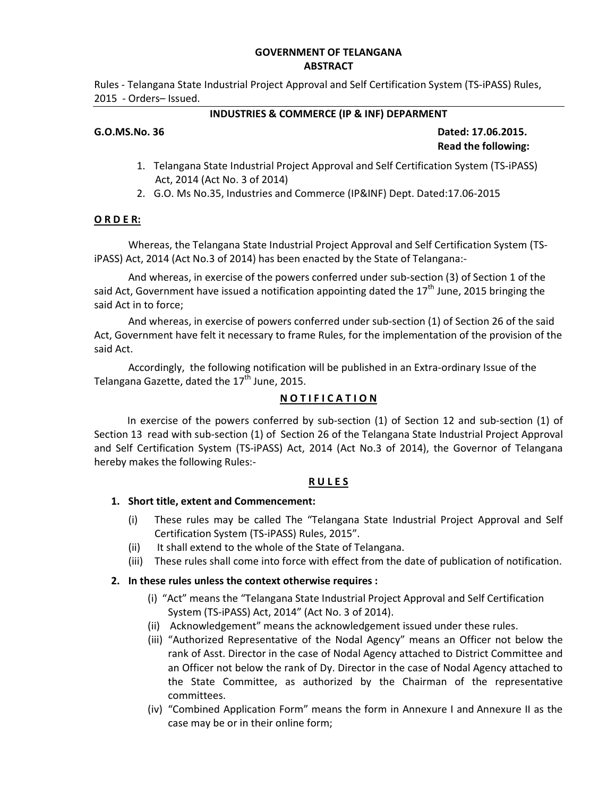#### **GOVERNMENT OF TELANGANA ABSTRACT**

Rules - Telangana State Industrial Project Approval and Self Certification System (TS-iPASS) Rules, 2015 - Orders– Issued.

#### **INDUSTRIES & COMMERCE (IP & INF) DEPARMENT**

#### **G.O.MS.No. 36 Dated: 17.06.2015. Read the following:**

- 1. Telangana State Industrial Project Approval and Self Certification System (TS-iPASS) Act, 2014 (Act No. 3 of 2014)
- 2. G.O. Ms No.35, Industries and Commerce (IP&INF) Dept. Dated:17.06-2015

#### **O R D E R:**

 Whereas, the Telangana State Industrial Project Approval and Self Certification System (TSiPASS) Act, 2014 (Act No.3 of 2014) has been enacted by the State of Telangana:-

 And whereas, in exercise of the powers conferred under sub-section (3) of Section 1 of the said Act, Government have issued a notification appointing dated the  $17<sup>th</sup>$  June, 2015 bringing the said Act in to force;

 And whereas, in exercise of powers conferred under sub-section (1) of Section 26 of the said Act, Government have felt it necessary to frame Rules, for the implementation of the provision of the said Act.

 Accordingly, the following notification will be published in an Extra-ordinary Issue of the Telangana Gazette, dated the  $17<sup>th</sup>$  June, 2015.

#### **N O T I F I C A T I O N**

In exercise of the powers conferred by sub-section (1) of Section 12 and sub-section (1) of Section 13 read with sub-section (1) of Section 26 of the Telangana State Industrial Project Approval and Self Certification System (TS-iPASS) Act, 2014 (Act No.3 of 2014), the Governor of Telangana hereby makes the following Rules:-

#### **R U L E S**

#### **1. Short title, extent and Commencement:**

- (i) These rules may be called The "Telangana State Industrial Project Approval and Self Certification System (TS-iPASS) Rules, 2015".
- (ii) It shall extend to the whole of the State of Telangana.
- (iii) These rules shall come into force with effect from the date of publication of notification.

#### **2. In these rules unless the context otherwise requires :**

- (i) "Act" means the "Telangana State Industrial Project Approval and Self Certification System (TS-iPASS) Act, 2014" (Act No. 3 of 2014).
- (ii) Acknowledgement" means the acknowledgement issued under these rules.
- (iii) "Authorized Representative of the Nodal Agency" means an Officer not below the rank of Asst. Director in the case of Nodal Agency attached to District Committee and an Officer not below the rank of Dy. Director in the case of Nodal Agency attached to the State Committee, as authorized by the Chairman of the representative committees.
- (iv) "Combined Application Form" means the form in Annexure I and Annexure II as the case may be or in their online form;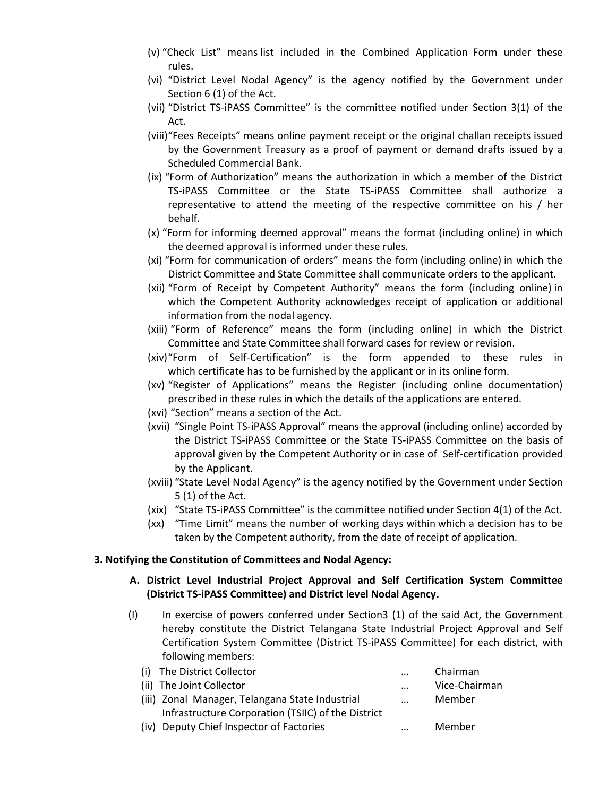- (v) "Check List" means list included in the Combined Application Form under these rules.
- (vi) "District Level Nodal Agency" is the agency notified by the Government under Section 6 (1) of the Act.
- (vii) "District TS-iPASS Committee" is the committee notified under Section 3(1) of the Act.
- (viii)"Fees Receipts" means online payment receipt or the original challan receipts issued by the Government Treasury as a proof of payment or demand drafts issued by a Scheduled Commercial Bank.
- (ix) "Form of Authorization" means the authorization in which a member of the District TS-iPASS Committee or the State TS-iPASS Committee shall authorize a representative to attend the meeting of the respective committee on his / her behalf.
- (x) "Form for informing deemed approval" means the format (including online) in which the deemed approval is informed under these rules.
- (xi) "Form for communication of orders" means the form (including online) in which the District Committee and State Committee shall communicate orders to the applicant.
- (xii) "Form of Receipt by Competent Authority" means the form (including online) in which the Competent Authority acknowledges receipt of application or additional information from the nodal agency.
- (xiii) "Form of Reference" means the form (including online) in which the District Committee and State Committee shall forward cases for review or revision.
- (xiv)"Form of Self-Certification" is the form appended to these rules in which certificate has to be furnished by the applicant or in its online form.
- (xv) "Register of Applications" means the Register (including online documentation) prescribed in these rules in which the details of the applications are entered.
- (xvi) "Section" means a section of the Act.
- (xvii) "Single Point TS-iPASS Approval" means the approval (including online) accorded by the District TS-iPASS Committee or the State TS-iPASS Committee on the basis of approval given by the Competent Authority or in case of Self-certification provided by the Applicant.
- (xviii) "State Level Nodal Agency" is the agency notified by the Government under Section 5 (1) of the Act.
- (xix) "State TS-iPASS Committee" is the committee notified under Section 4(1) of the Act.
- (xx) "Time Limit" means the number of working days within which a decision has to be taken by the Competent authority, from the date of receipt of application.

#### **3. Notifying the Constitution of Committees and Nodal Agency:**

#### **A. District Level Industrial Project Approval and Self Certification System Committee (District TS-iPASS Committee) and District level Nodal Agency.**

(I) In exercise of powers conferred under Section3 (1) of the said Act, the Government hereby constitute the District Telangana State Industrial Project Approval and Self Certification System Committee (District TS-iPASS Committee) for each district, with following members:

| (i) The District Collector                         | $\ddotsc$ | Chairman      |
|----------------------------------------------------|-----------|---------------|
| (ii) The Joint Collector                           | $\ddotsc$ | Vice-Chairman |
| (iii) Zonal Manager, Telangana State Industrial    | $\ddotsc$ | Member        |
| Infrastructure Corporation (TSIIC) of the District |           |               |
| (iv) Deputy Chief Inspector of Factories           |           | Member        |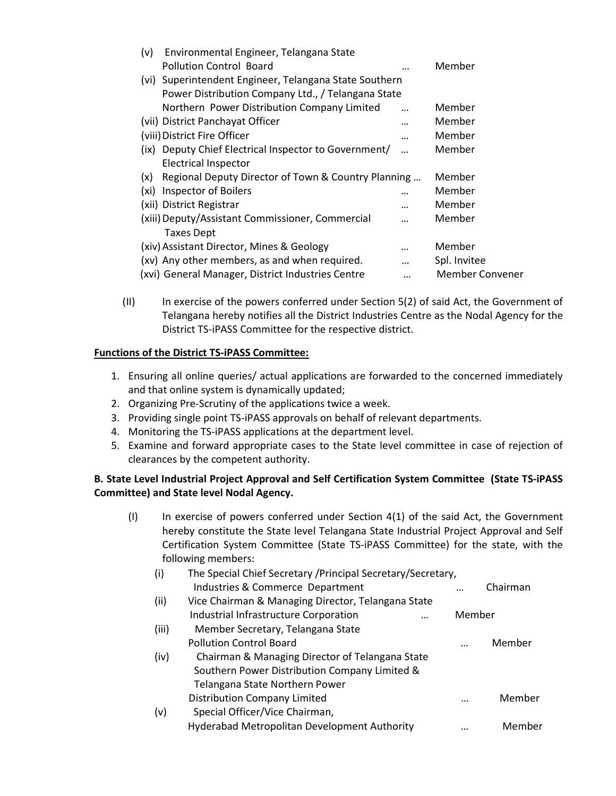| Environmental Engineer, Telangana State               |                                                                                                                                                                     |
|-------------------------------------------------------|---------------------------------------------------------------------------------------------------------------------------------------------------------------------|
| <b>Pollution Control Board</b>                        | Member                                                                                                                                                              |
|                                                       |                                                                                                                                                                     |
|                                                       |                                                                                                                                                                     |
| Northern Power Distribution Company Limited           | Member                                                                                                                                                              |
| (vii) District Panchayat Officer                      | Member                                                                                                                                                              |
| (viii) District Fire Officer                          | <br>Member                                                                                                                                                          |
| (ix) Deputy Chief Electrical Inspector to Government/ | Member                                                                                                                                                              |
| <b>Electrical Inspector</b>                           |                                                                                                                                                                     |
|                                                       | Member                                                                                                                                                              |
| Inspector of Boilers                                  | Member                                                                                                                                                              |
| (xii) District Registrar                              | Member                                                                                                                                                              |
| (xiii) Deputy/Assistant Commissioner, Commercial      | Member                                                                                                                                                              |
| <b>Taxes Dept</b>                                     |                                                                                                                                                                     |
| (xiv) Assistant Director, Mines & Geology             | <br>Member                                                                                                                                                          |
| (xv) Any other members, as and when required.         | <br>Spl. Invitee                                                                                                                                                    |
| (xvi) General Manager, District Industries Centre     | <br><b>Member Convener</b>                                                                                                                                          |
|                                                       | (vi) Superintendent Engineer, Telangana State Southern<br>Power Distribution Company Ltd., / Telangana State<br>Regional Deputy Director of Town & Country Planning |

(II) In exercise of the powers conferred under Section 5(2) of said Act, the Government of Telangana hereby notifies all the District Industries Centre as the Nodal Agency for the District TS-iPASS Committee for the respective district.

#### **Functions of the District TS-iPASS Committee:**

- 1. Ensuring all online queries/ actual applications are forwarded to the concerned immediately and that online system is dynamically updated;
- 2. Organizing Pre-Scrutiny of the applications twice a week.
- 3. Providing single point TS-iPASS approvals on behalf of relevant departments.
- 4. Monitoring the TS-iPASS applications at the department level.
- 5. Examine and forward appropriate cases to the State level committee in case of rejection of clearances by the competent authority.

#### **B. State Level Industrial Project Approval and Self Certification System Committee (State TS-iPASS Committee) and State level Nodal Agency.**

(I) In exercise of powers conferred under Section 4(1) of the said Act, the Government hereby constitute the State level Telangana State Industrial Project Approval and Self Certification System Committee (State TS-iPASS Committee) for the state, with the following members:

| (i)   | The Special Chief Secretary / Principal Secretary/Secretary, |          |          |
|-------|--------------------------------------------------------------|----------|----------|
|       | Industries & Commerce Department                             |          | Chairman |
| (ii)  | Vice Chairman & Managing Director, Telangana State           |          |          |
|       | Industrial Infrastructure Corporation<br>                    | Member   |          |
| (iii) | Member Secretary, Telangana State                            |          |          |
|       | <b>Pollution Control Board</b>                               |          | Member   |
| (iv)  | Chairman & Managing Director of Telangana State              |          |          |
|       | Southern Power Distribution Company Limited &                |          |          |
|       | Telangana State Northern Power                               |          |          |
|       | <b>Distribution Company Limited</b>                          | $\cdots$ | Member   |
| (v)   | Special Officer/Vice Chairman,                               |          |          |
|       | Hyderabad Metropolitan Development Authority                 |          | Member   |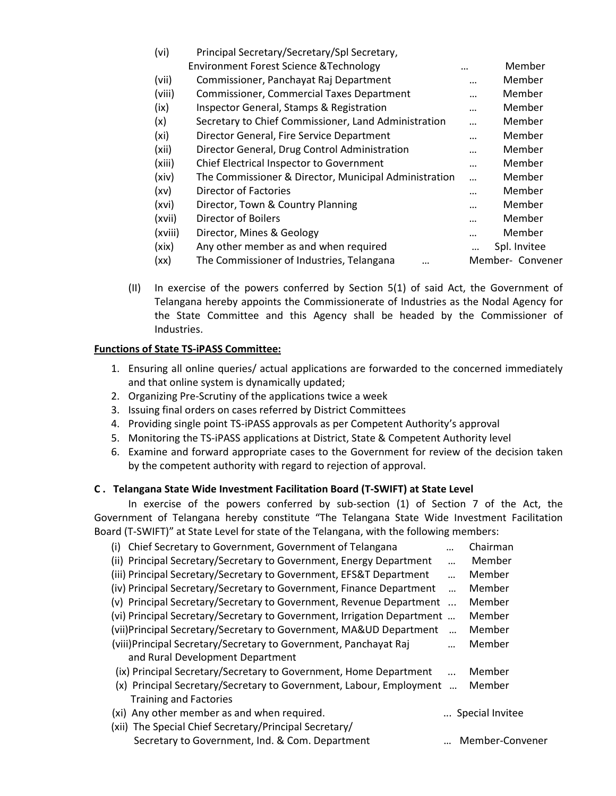| (vi)    | Principal Secretary/Secretary/Spl Secretary,          |          |                  |
|---------|-------------------------------------------------------|----------|------------------|
|         | <b>Environment Forest Science &amp; Technology</b>    |          | Member           |
| (vii)   | Commissioner, Panchayat Raj Department                |          | Member           |
| (viii)  | <b>Commissioner, Commercial Taxes Department</b>      |          | Member           |
| (ix)    | <b>Inspector General, Stamps &amp; Registration</b>   |          | Member           |
| (x)     | Secretary to Chief Commissioner, Land Administration  |          | Member           |
| (xi)    | Director General, Fire Service Department             |          | Member           |
| (xii)   | Director General, Drug Control Administration         |          | Member           |
| (xiii)  | Chief Electrical Inspector to Government              |          | Member           |
| (xiv)   | The Commissioner & Director, Municipal Administration | $\cdots$ | Member           |
| (xv)    | Director of Factories                                 |          | Member           |
| (xvi)   | Director, Town & Country Planning                     |          | Member           |
| (xvii)  | Director of Boilers                                   |          | Member           |
| (xviii) | Director, Mines & Geology                             |          | Member           |
| (xix)   | Any other member as and when required                 |          | Spl. Invitee     |
| (xx)    | The Commissioner of Industries, Telangana<br>         |          | Member- Convener |

(II) In exercise of the powers conferred by Section 5(1) of said Act, the Government of Telangana hereby appoints the Commissionerate of Industries as the Nodal Agency for the State Committee and this Agency shall be headed by the Commissioner of Industries.

#### **Functions of State TS-iPASS Committee:**

- 1. Ensuring all online queries/ actual applications are forwarded to the concerned immediately and that online system is dynamically updated;
- 2. Organizing Pre-Scrutiny of the applications twice a week
- 3. Issuing final orders on cases referred by District Committees
- 4. Providing single point TS-iPASS approvals as per Competent Authority's approval
- 5. Monitoring the TS-iPASS applications at District, State & Competent Authority level
- 6. Examine and forward appropriate cases to the Government for review of the decision taken by the competent authority with regard to rejection of approval.

#### **C . Telangana State Wide Investment Facilitation Board (T-SWIFT) at State Level**

In exercise of the powers conferred by sub-section (1) of Section 7 of the Act, the Government of Telangana hereby constitute "The Telangana State Wide Investment Facilitation Board (T-SWIFT)" at State Level for state of the Telangana, with the following members:

| Chief Secretary to Government, Government of Telangana<br>(i)           |           | Chairman        |
|-------------------------------------------------------------------------|-----------|-----------------|
| (ii) Principal Secretary/Secretary to Government, Energy Department     |           | Member          |
| (iii) Principal Secretary/Secretary to Government, EFS&T Department     |           | Member          |
| (iv) Principal Secretary/Secretary to Government, Finance Department    |           | Member          |
| (v) Principal Secretary/Secretary to Government, Revenue Department     | $\ddotsc$ | Member          |
| (vi) Principal Secretary/Secretary to Government, Irrigation Department |           | Member          |
| (vii)Principal Secretary/Secretary to Government, MA&UD Department      |           | Member          |
| (viii)Principal Secretary/Secretary to Government, Panchayat Raj        |           | Member          |
| and Rural Development Department                                        |           |                 |
| (ix) Principal Secretary/Secretary to Government, Home Department       |           | Member          |
| (x) Principal Secretary/Secretary to Government, Labour, Employment     |           | Member          |
| <b>Training and Factories</b>                                           |           |                 |
| (xi) Any other member as and when required.                             |           | Special Invitee |
| (xii) The Special Chief Secretary/Principal Secretary/                  |           |                 |
| Secretary to Government, Ind. & Com. Department                         |           | Member-Convener |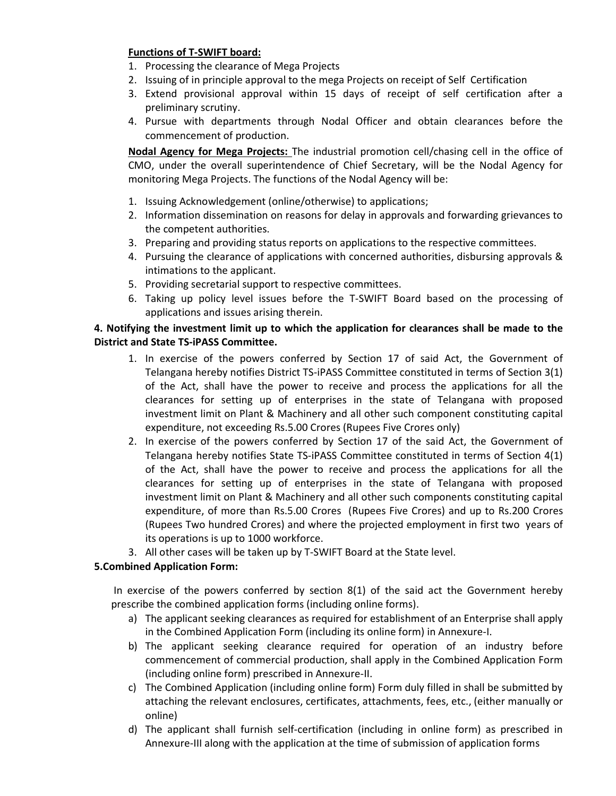#### **Functions of T-SWIFT board:**

- 1. Processing the clearance of Mega Projects
- 2. Issuing of in principle approval to the mega Projects on receipt of Self Certification
- 3. Extend provisional approval within 15 days of receipt of self certification after a preliminary scrutiny.
- 4. Pursue with departments through Nodal Officer and obtain clearances before the commencement of production.

**Nodal Agency for Mega Projects:** The industrial promotion cell/chasing cell in the office of CMO, under the overall superintendence of Chief Secretary, will be the Nodal Agency for monitoring Mega Projects. The functions of the Nodal Agency will be:

- 1. Issuing Acknowledgement (online/otherwise) to applications;
- 2. Information dissemination on reasons for delay in approvals and forwarding grievances to the competent authorities.
- 3. Preparing and providing status reports on applications to the respective committees.
- 4. Pursuing the clearance of applications with concerned authorities, disbursing approvals & intimations to the applicant.
- 5. Providing secretarial support to respective committees.
- 6. Taking up policy level issues before the T-SWIFT Board based on the processing of applications and issues arising therein.

#### **4. Notifying the investment limit up to which the application for clearances shall be made to the District and State TS-iPASS Committee.**

- 1. In exercise of the powers conferred by Section 17 of said Act, the Government of Telangana hereby notifies District TS-iPASS Committee constituted in terms of Section 3(1) of the Act, shall have the power to receive and process the applications for all the clearances for setting up of enterprises in the state of Telangana with proposed investment limit on Plant & Machinery and all other such component constituting capital expenditure, not exceeding Rs.5.00 Crores (Rupees Five Crores only)
- 2. In exercise of the powers conferred by Section 17 of the said Act, the Government of Telangana hereby notifies State TS-iPASS Committee constituted in terms of Section 4(1) of the Act, shall have the power to receive and process the applications for all the clearances for setting up of enterprises in the state of Telangana with proposed investment limit on Plant & Machinery and all other such components constituting capital expenditure, of more than Rs.5.00 Crores (Rupees Five Crores) and up to Rs.200 Crores (Rupees Two hundred Crores) and where the projected employment in first two years of its operations is up to 1000 workforce.
- 3. All other cases will be taken up by T-SWIFT Board at the State level.

### **5.Combined Application Form:**

 In exercise of the powers conferred by section 8(1) of the said act the Government hereby prescribe the combined application forms (including online forms).

- a) The applicant seeking clearances as required for establishment of an Enterprise shall apply in the Combined Application Form (including its online form) in Annexure-I.
- b) The applicant seeking clearance required for operation of an industry before commencement of commercial production, shall apply in the Combined Application Form (including online form) prescribed in Annexure-II.
- c) The Combined Application (including online form) Form duly filled in shall be submitted by attaching the relevant enclosures, certificates, attachments, fees, etc., (either manually or online)
- d) The applicant shall furnish self-certification (including in online form) as prescribed in Annexure-III along with the application at the time of submission of application forms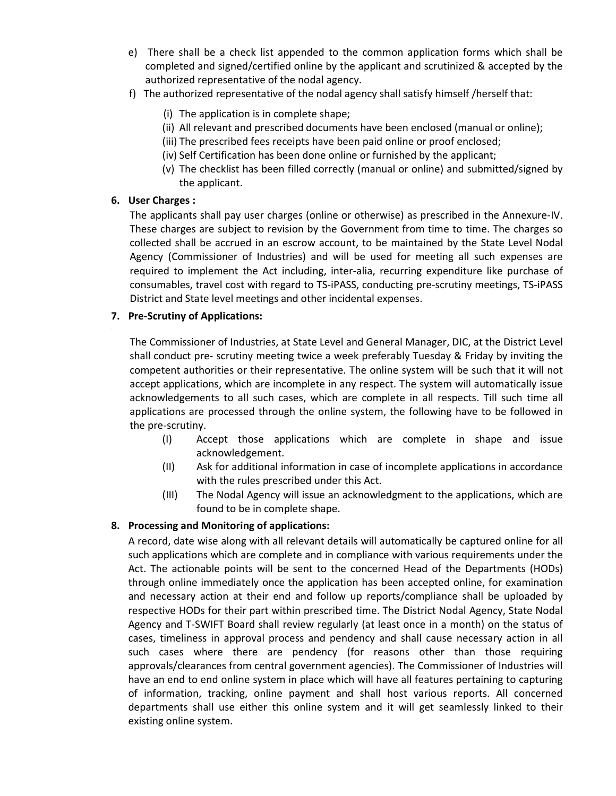- e) There shall be a check list appended to the common application forms which shall be completed and signed/certified online by the applicant and scrutinized & accepted by the authorized representative of the nodal agency.
- f) The authorized representative of the nodal agency shall satisfy himself /herself that:
	- (i) The application is in complete shape;
	- (ii) All relevant and prescribed documents have been enclosed (manual or online);
	- (iii) The prescribed fees receipts have been paid online or proof enclosed;
	- (iv) Self Certification has been done online or furnished by the applicant;
	- (v) The checklist has been filled correctly (manual or online) and submitted/signed by the applicant.

#### **6. User Charges :**

The applicants shall pay user charges (online or otherwise) as prescribed in the Annexure-IV. These charges are subject to revision by the Government from time to time. The charges so collected shall be accrued in an escrow account, to be maintained by the State Level Nodal Agency (Commissioner of Industries) and will be used for meeting all such expenses are required to implement the Act including, inter-alia, recurring expenditure like purchase of consumables, travel cost with regard to TS-iPASS, conducting pre-scrutiny meetings, TS-iPASS District and State level meetings and other incidental expenses.

#### **7. Pre-Scrutiny of Applications:**

The Commissioner of Industries, at State Level and General Manager, DIC, at the District Level shall conduct pre- scrutiny meeting twice a week preferably Tuesday & Friday by inviting the competent authorities or their representative. The online system will be such that it will not accept applications, which are incomplete in any respect. The system will automatically issue acknowledgements to all such cases, which are complete in all respects. Till such time all applications are processed through the online system, the following have to be followed in the pre-scrutiny.

- (I) Accept those applications which are complete in shape and issue acknowledgement.
- (II) Ask for additional information in case of incomplete applications in accordance with the rules prescribed under this Act.
- (III) The Nodal Agency will issue an acknowledgment to the applications, which are found to be in complete shape.

#### **8. Processing and Monitoring of applications:**

A record, date wise along with all relevant details will automatically be captured online for all such applications which are complete and in compliance with various requirements under the Act. The actionable points will be sent to the concerned Head of the Departments (HODs) through online immediately once the application has been accepted online, for examination and necessary action at their end and follow up reports/compliance shall be uploaded by respective HODs for their part within prescribed time. The District Nodal Agency, State Nodal Agency and T-SWIFT Board shall review regularly (at least once in a month) on the status of cases, timeliness in approval process and pendency and shall cause necessary action in all such cases where there are pendency (for reasons other than those requiring approvals/clearances from central government agencies). The Commissioner of Industries will have an end to end online system in place which will have all features pertaining to capturing of information, tracking, online payment and shall host various reports. All concerned departments shall use either this online system and it will get seamlessly linked to their existing online system.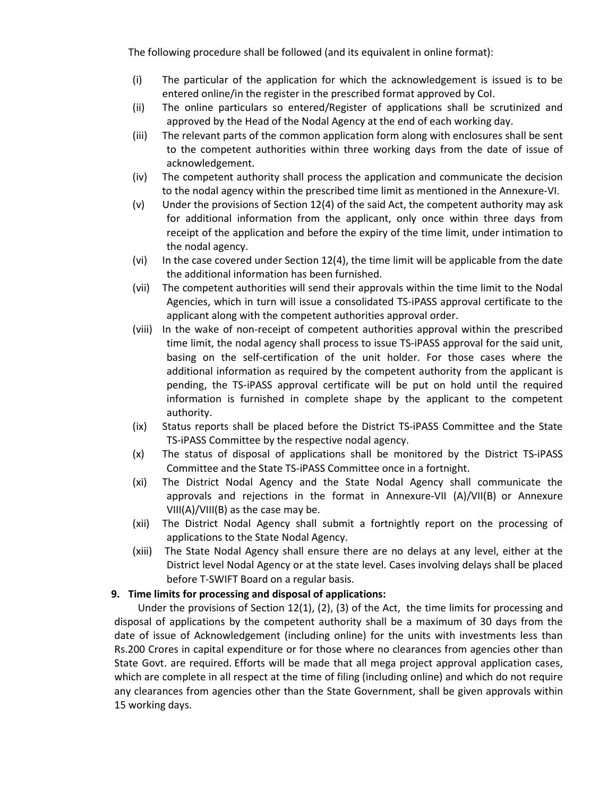The following procedure shall be followed (and its equivalent in online format):

- (i) The particular of the application for which the acknowledgement is issued is to be entered online/in the register in the prescribed format approved by CoI.
- (ii) The online particulars so entered/Register of applications shall be scrutinized and approved by the Head of the Nodal Agency at the end of each working day.
- (iii) The relevant parts of the common application form along with enclosures shall be sent to the competent authorities within three working days from the date of issue of acknowledgement.
- (iv) The competent authority shall process the application and communicate the decision to the nodal agency within the prescribed time limit as mentioned in the Annexure-VI.
- (v) Under the provisions of Section 12(4) of the said Act, the competent authority may ask for additional information from the applicant, only once within three days from receipt of the application and before the expiry of the time limit, under intimation to the nodal agency.
- (vi) In the case covered under Section 12(4), the time limit will be applicable from the date the additional information has been furnished.
- (vii) The competent authorities will send their approvals within the time limit to the Nodal Agencies, which in turn will issue a consolidated TS-iPASS approval certificate to the applicant along with the competent authorities approval order.
- (viii) In the wake of non-receipt of competent authorities approval within the prescribed time limit, the nodal agency shall process to issue TS-iPASS approval for the said unit, basing on the self-certification of the unit holder. For those cases where the additional information as required by the competent authority from the applicant is pending, the TS-iPASS approval certificate will be put on hold until the required information is furnished in complete shape by the applicant to the competent authority.
- (ix) Status reports shall be placed before the District TS-iPASS Committee and the State TS-iPASS Committee by the respective nodal agency.
- (x) The status of disposal of applications shall be monitored by the District TS-iPASS Committee and the State TS-iPASS Committee once in a fortnight.
- (xi) The District Nodal Agency and the State Nodal Agency shall communicate the approvals and rejections in the format in Annexure-VII (A)/VII(B) or Annexure VIII(A)/VIII(B) as the case may be.
- (xii) The District Nodal Agency shall submit a fortnightly report on the processing of applications to the State Nodal Agency.
- (xiii) The State Nodal Agency shall ensure there are no delays at any level, either at the District level Nodal Agency or at the state level. Cases involving delays shall be placed before T-SWIFT Board on a regular basis.

#### **9. Time limits for processing and disposal of applications:**

 Under the provisions of Section 12(1), (2), (3) of the Act, the time limits for processing and disposal of applications by the competent authority shall be a maximum of 30 days from the date of issue of Acknowledgement (including online) for the units with investments less than Rs.200 Crores in capital expenditure or for those where no clearances from agencies other than State Govt. are required. Efforts will be made that all mega project approval application cases, which are complete in all respect at the time of filing (including online) and which do not require any clearances from agencies other than the State Government, shall be given approvals within 15 working days.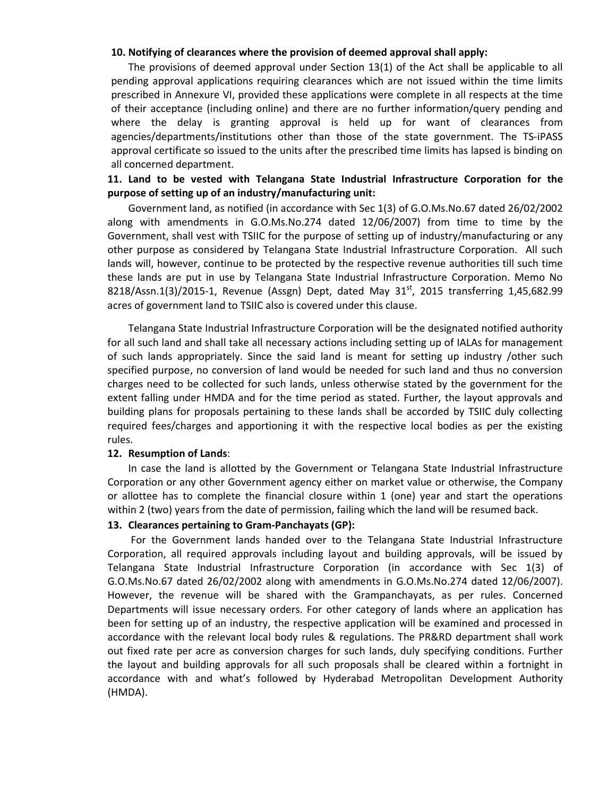#### **10. Notifying of clearances where the provision of deemed approval shall apply:**

The provisions of deemed approval under Section 13(1) of the Act shall be applicable to all pending approval applications requiring clearances which are not issued within the time limits prescribed in Annexure VI, provided these applications were complete in all respects at the time of their acceptance (including online) and there are no further information/query pending and where the delay is granting approval is held up for want of clearances from agencies/departments/institutions other than those of the state government. The TS-iPASS approval certificate so issued to the units after the prescribed time limits has lapsed is binding on all concerned department.

#### **11. Land to be vested with Telangana State Industrial Infrastructure Corporation for the purpose of setting up of an industry/manufacturing unit:**

Government land, as notified (in accordance with Sec 1(3) of G.O.Ms.No.67 dated 26/02/2002 along with amendments in G.O.Ms.No.274 dated 12/06/2007) from time to time by the Government, shall vest with TSIIC for the purpose of setting up of industry/manufacturing or any other purpose as considered by Telangana State Industrial Infrastructure Corporation. All such lands will, however, continue to be protected by the respective revenue authorities till such time these lands are put in use by Telangana State Industrial Infrastructure Corporation. Memo No 8218/Assn.1(3)/2015-1, Revenue (Assgn) Dept, dated May  $31^{st}$ , 2015 transferring 1,45,682.99 acres of government land to TSIIC also is covered under this clause.

Telangana State Industrial Infrastructure Corporation will be the designated notified authority for all such land and shall take all necessary actions including setting up of IALAs for management of such lands appropriately. Since the said land is meant for setting up industry /other such specified purpose, no conversion of land would be needed for such land and thus no conversion charges need to be collected for such lands, unless otherwise stated by the government for the extent falling under HMDA and for the time period as stated. Further, the layout approvals and building plans for proposals pertaining to these lands shall be accorded by TSIIC duly collecting required fees/charges and apportioning it with the respective local bodies as per the existing rules.

#### **12. Resumption of Lands**:

In case the land is allotted by the Government or Telangana State Industrial Infrastructure Corporation or any other Government agency either on market value or otherwise, the Company or allottee has to complete the financial closure within 1 (one) year and start the operations within 2 (two) years from the date of permission, failing which the land will be resumed back.

#### **13. Clearances pertaining to Gram-Panchayats (GP):**

 For the Government lands handed over to the Telangana State Industrial Infrastructure Corporation, all required approvals including layout and building approvals, will be issued by Telangana State Industrial Infrastructure Corporation (in accordance with Sec 1(3) of G.O.Ms.No.67 dated 26/02/2002 along with amendments in G.O.Ms.No.274 dated 12/06/2007). However, the revenue will be shared with the Grampanchayats, as per rules. Concerned Departments will issue necessary orders. For other category of lands where an application has been for setting up of an industry, the respective application will be examined and processed in accordance with the relevant local body rules & regulations. The PR&RD department shall work out fixed rate per acre as conversion charges for such lands, duly specifying conditions. Further the layout and building approvals for all such proposals shall be cleared within a fortnight in accordance with and what's followed by Hyderabad Metropolitan Development Authority (HMDA).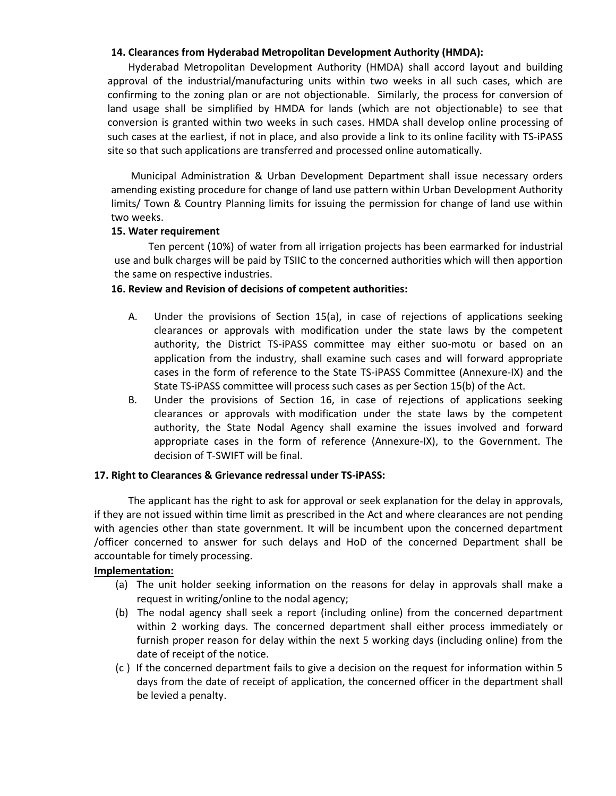#### **14. Clearances from Hyderabad Metropolitan Development Authority (HMDA):**

Hyderabad Metropolitan Development Authority (HMDA) shall accord layout and building approval of the industrial/manufacturing units within two weeks in all such cases, which are confirming to the zoning plan or are not objectionable. Similarly, the process for conversion of land usage shall be simplified by HMDA for lands (which are not objectionable) to see that conversion is granted within two weeks in such cases. HMDA shall develop online processing of such cases at the earliest, if not in place, and also provide a link to its online facility with TS-iPASS site so that such applications are transferred and processed online automatically.

 Municipal Administration & Urban Development Department shall issue necessary orders amending existing procedure for change of land use pattern within Urban Development Authority limits/ Town & Country Planning limits for issuing the permission for change of land use within two weeks.

#### **15. Water requirement**

Ten percent (10%) of water from all irrigation projects has been earmarked for industrial use and bulk charges will be paid by TSIIC to the concerned authorities which will then apportion the same on respective industries.

#### **16. Review and Revision of decisions of competent authorities:**

- A. Under the provisions of Section 15(a), in case of rejections of applications seeking clearances or approvals with modification under the state laws by the competent authority, the District TS-iPASS committee may either suo-motu or based on an application from the industry, shall examine such cases and will forward appropriate cases in the form of reference to the State TS-iPASS Committee (Annexure-IX) and the State TS-iPASS committee will process such cases as per Section 15(b) of the Act.
- B. Under the provisions of Section 16, in case of rejections of applications seeking clearances or approvals with modification under the state laws by the competent authority, the State Nodal Agency shall examine the issues involved and forward appropriate cases in the form of reference (Annexure-IX), to the Government. The decision of T-SWIFT will be final.

#### **17. Right to Clearances & Grievance redressal under TS-iPASS:**

The applicant has the right to ask for approval or seek explanation for the delay in approvals, if they are not issued within time limit as prescribed in the Act and where clearances are not pending with agencies other than state government. It will be incumbent upon the concerned department /officer concerned to answer for such delays and HoD of the concerned Department shall be accountable for timely processing.

#### **Implementation:**

- (a) The unit holder seeking information on the reasons for delay in approvals shall make a request in writing/online to the nodal agency;
- (b) The nodal agency shall seek a report (including online) from the concerned department within 2 working days. The concerned department shall either process immediately or furnish proper reason for delay within the next 5 working days (including online) from the date of receipt of the notice.
- (c ) If the concerned department fails to give a decision on the request for information within 5 days from the date of receipt of application, the concerned officer in the department shall be levied a penalty.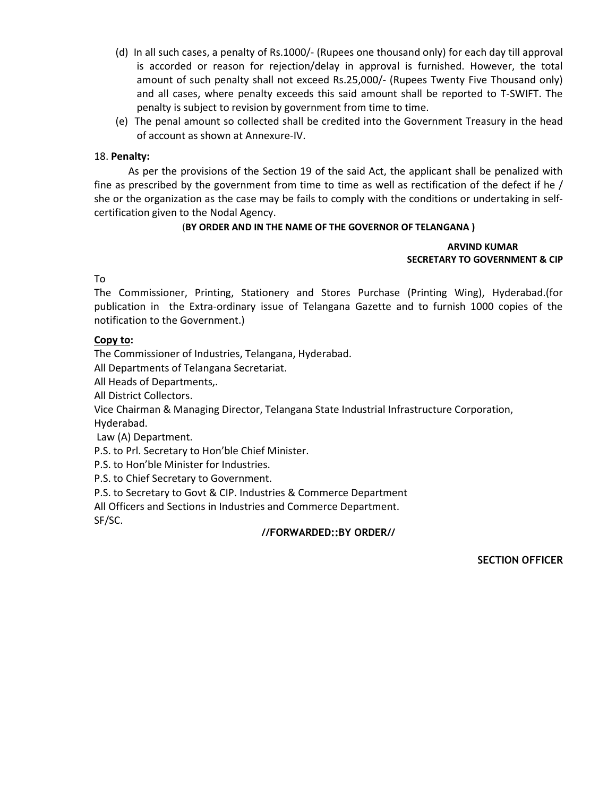- (d) In all such cases, a penalty of Rs.1000/- (Rupees one thousand only) for each day till approval is accorded or reason for rejection/delay in approval is furnished. However, the total amount of such penalty shall not exceed Rs.25,000/- (Rupees Twenty Five Thousand only) and all cases, where penalty exceeds this said amount shall be reported to T-SWIFT. The penalty is subject to revision by government from time to time.
- (e) The penal amount so collected shall be credited into the Government Treasury in the head of account as shown at Annexure-IV.

#### 18. **Penalty:**

As per the provisions of the Section 19 of the said Act, the applicant shall be penalized with fine as prescribed by the government from time to time as well as rectification of the defect if he / she or the organization as the case may be fails to comply with the conditions or undertaking in selfcertification given to the Nodal Agency.

#### (**BY ORDER AND IN THE NAME OF THE GOVERNOR OF TELANGANA )**

#### **ARVIND KUMAR SECRETARY TO GOVERNMENT & CIP**

To

The Commissioner, Printing, Stationery and Stores Purchase (Printing Wing), Hyderabad.(for publication in the Extra-ordinary issue of Telangana Gazette and to furnish 1000 copies of the notification to the Government.)

#### **Copy to:**

The Commissioner of Industries, Telangana, Hyderabad.

All Departments of Telangana Secretariat.

All Heads of Departments,.

All District Collectors.

Vice Chairman & Managing Director, Telangana State Industrial Infrastructure Corporation, Hyderabad.

Law (A) Department.

P.S. to Prl. Secretary to Hon'ble Chief Minister.

P.S. to Hon'ble Minister for Industries.

P.S. to Chief Secretary to Government.

P.S. to Secretary to Govt & CIP. Industries & Commerce Department

All Officers and Sections in Industries and Commerce Department.

SF/SC.

#### **//FORWARDED::BY ORDER//**

**SECTION OFFICER**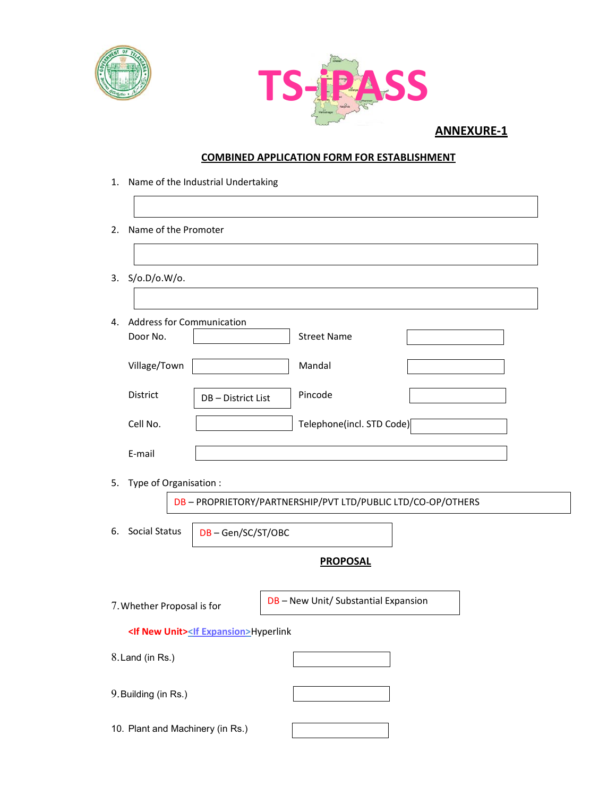



#### **COMBINED APPLICATION FORM FOR ESTABLISHMENT**

- 1. Name of the Industrial Undertaking
- 2. Name of the Promoter
- 3. S/o.D/o.W/o.

| 4. | <b>Address for Communication</b> |                  |                           |  |
|----|----------------------------------|------------------|---------------------------|--|
|    | Door No.                         |                  | Street Name               |  |
|    |                                  |                  |                           |  |
|    | Village/Town                     |                  | Mandal                    |  |
|    |                                  |                  |                           |  |
|    | <b>District</b>                  | DB-District List | Pincode                   |  |
|    | Cell No.                         |                  | Telephone(incl. STD Code) |  |
|    |                                  |                  |                           |  |
|    | E-mail                           |                  |                           |  |
|    |                                  |                  |                           |  |

5. Type of Organisation :

DB – PROPRIETORY/PARTNERSHIP/PVT LTD/PUBLIC LTD/CO-OP/OTHERS

6. Social Status

DB – Gen/SC/ST/OBC

#### **PROPOSAL**

| 7. Whether Proposal is for                              | DB - New Unit/ Substantial Expansion |
|---------------------------------------------------------|--------------------------------------|
| <if new="" unit=""><if expansion="">Hyperlink</if></if> |                                      |
| 8. Land (in Rs.)                                        |                                      |
| 9. Building (in Rs.)                                    |                                      |
| 10. Plant and Machinery (in Rs.)                        |                                      |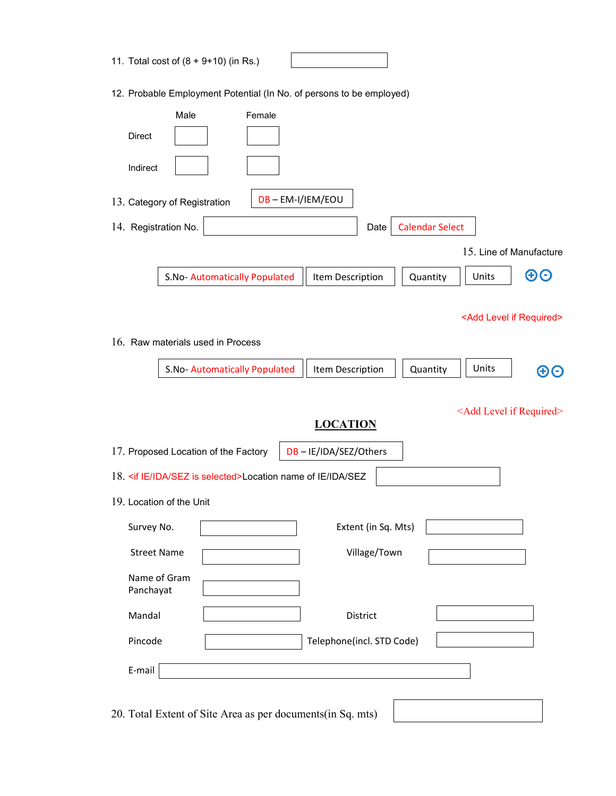| 11. Total cost of (8 + 9+10) (in Rs.)                                                                                        |
|------------------------------------------------------------------------------------------------------------------------------|
| 12. Probable Employment Potential (In No. of persons to be employed)                                                         |
| Male<br>Female<br>Direct<br>Indirect                                                                                         |
| DB-EM-I/IEM/EOU<br>13. Category of Registration                                                                              |
| <b>Calendar Select</b><br>14. Registration No.<br>Date                                                                       |
| 15. Line of Manufacture                                                                                                      |
| $\boldsymbol \Theta\boldsymbol \Theta$<br>Units<br>S.No- Automatically Populated<br>Item Description<br>Quantity             |
| <add if="" level="" required=""><br/>16. Raw materials used in Process</add>                                                 |
| S.No-Automatically Populated<br>Item Description<br>Quantity<br>Units<br>ΘΘ                                                  |
| <add if="" level="" required=""><br/><b>LOCATION</b><br/>17. Proposed Location of the Factory<br/>DB-IE/IDA/SEZ/Others</add> |
|                                                                                                                              |
| 18. <if ida="" ie="" is="" selected="" sez="">Location name of IE/IDA/SEZ</if>                                               |
| 19. Location of the Unit                                                                                                     |
| Survey No.<br>Extent (in Sq. Mts)                                                                                            |
| Village/Town<br><b>Street Name</b>                                                                                           |
| Name of Gram<br>Panchayat                                                                                                    |
| Mandal<br>District                                                                                                           |
| Pincode<br>Telephone(incl. STD Code)                                                                                         |
| E-mail                                                                                                                       |

20. Total Extent of Site Area as per documents(in Sq. mts)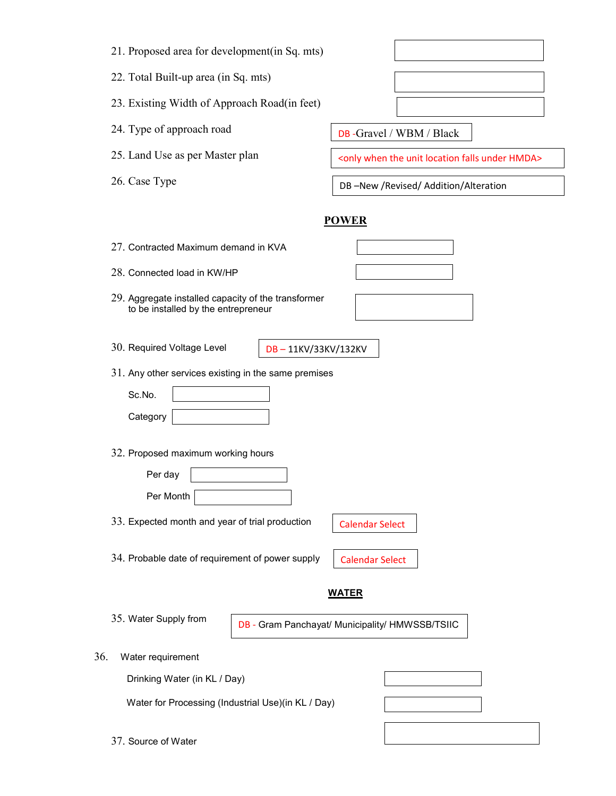| 21. Proposed area for development(in Sq. mts) |  |  |  |
|-----------------------------------------------|--|--|--|
|                                               |  |  |  |

22. Total Built-up area (in Sq. mts)

23. Existing Width of Approach Road(in feet)

- 24. Type of approach road
- 25. Land Use as per Master plan
- 26. Case Type

DB -Gravel / WBM / Black

<only when the unit location falls under HMDA>

DB –New /Revised/ Addition/Alteration

#### **POWER**

- 27. Contracted Maximum demand in KVA
- 28. Connected load in KW/HP
- 29. Aggregate installed capacity of the transformer to be installed by the entrepreneur
- 30. Required Voltage Level
- DB 11KV/33KV/132KV
- 31. Any other services existing in the same premises

| Sc.No.   |  |
|----------|--|
| Category |  |

32. Proposed maximum working hours

| Per day   |  |
|-----------|--|
| Per Month |  |

33. Expected month and year of trial production

Calendar Select

34. Probable date of requirement of power supply

| the contract of the contract of the contract of the contract of the contract of the contract of the contract of |  |  |
|-----------------------------------------------------------------------------------------------------------------|--|--|
|                                                                                                                 |  |  |
|                                                                                                                 |  |  |
|                                                                                                                 |  |  |
|                                                                                                                 |  |  |
|                                                                                                                 |  |  |
|                                                                                                                 |  |  |
|                                                                                                                 |  |  |
|                                                                                                                 |  |  |
|                                                                                                                 |  |  |
|                                                                                                                 |  |  |
|                                                                                                                 |  |  |
|                                                                                                                 |  |  |
|                                                                                                                 |  |  |
|                                                                                                                 |  |  |
|                                                                                                                 |  |  |
|                                                                                                                 |  |  |
|                                                                                                                 |  |  |
|                                                                                                                 |  |  |

35. Water Supply from

DB - Gram Panchayat/ Municipality/ HMWSSB/TSIIC

**WATER**

36. Water requirement

Drinking Water (in KL / Day)

Water for Processing (Industrial Use)(in KL / Day)

37. Source of Water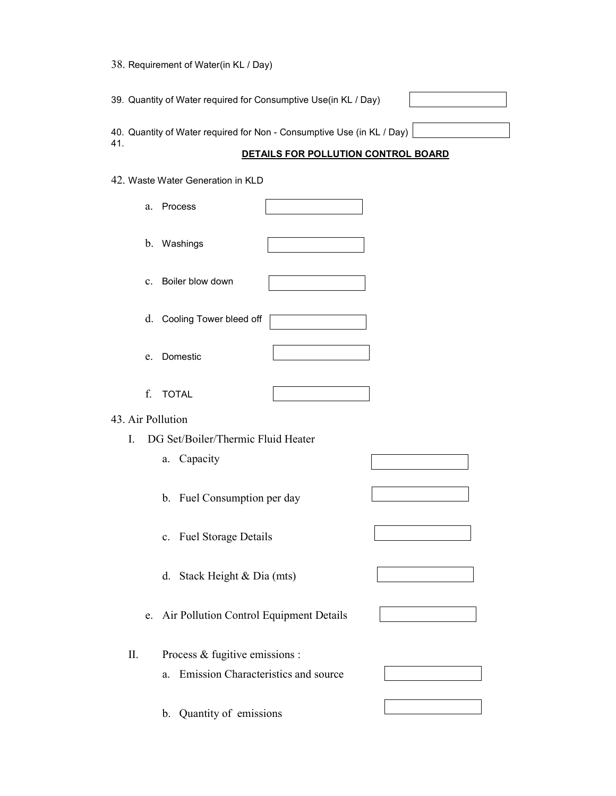38. Requirement of Water(in KL / Day)

39. Quantity of Water required for Consumptive Use(in KL / Day) 40. Quantity of Water required for Non - Consumptive Use (in KL / Day) 41.

#### **DETAILS FOR POLLUTION CONTROL BOARD**

42. Waste Water Generation in KLD

|                   | a.             | Process                                 |                                     |  |
|-------------------|----------------|-----------------------------------------|-------------------------------------|--|
|                   | b.             | Washings                                |                                     |  |
|                   | $\mathbf{c}$ . | Boiler blow down                        |                                     |  |
|                   |                | d. Cooling Tower bleed off              |                                     |  |
|                   | e.             | Domestic                                |                                     |  |
|                   | f.             | <b>TOTAL</b>                            |                                     |  |
| 43. Air Pollution |                |                                         |                                     |  |
| I.                |                | DG Set/Boiler/Thermic Fluid Heater      |                                     |  |
|                   |                | a. Capacity                             |                                     |  |
|                   |                |                                         |                                     |  |
|                   |                | b. Fuel Consumption per day             |                                     |  |
|                   |                | c. Fuel Storage Details                 |                                     |  |
|                   |                | d. Stack Height & Dia (mts)             |                                     |  |
|                   | e.             | Air Pollution Control Equipment Details |                                     |  |
| Π.                |                | Process & fugitive emissions :          |                                     |  |
|                   |                |                                         |                                     |  |
|                   |                | a.                                      | Emission Characteristics and source |  |
|                   |                | Quantity of emissions<br>b.             |                                     |  |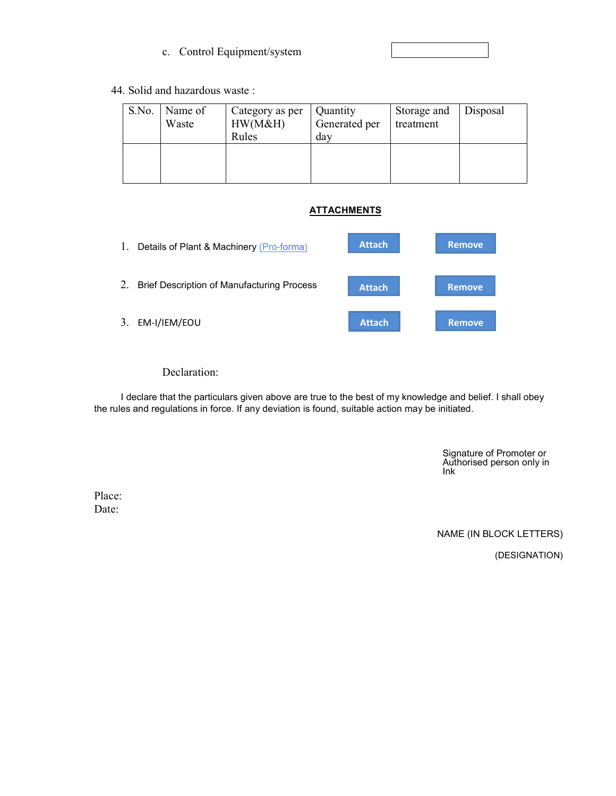#### c. Control Equipment/system

#### 44. Solid and hazardous waste :

| S.No. | Name of<br>Waste | Category as per<br>HW(M&H)<br>Rules | Quantity<br>Generated per<br>day | Storage and<br>treatment | Disposal |
|-------|------------------|-------------------------------------|----------------------------------|--------------------------|----------|
|       |                  |                                     |                                  |                          |          |

#### **ATTACHMENTS**



Declaration:

I declare that the particulars given above are true to the best of my knowledge and belief. I shall obey the rules and regulations in force. If any deviation is found, suitable action may be initiated.

> Signature of Promoter or Authorised person only in Ink

Place: Date:

NAME (IN BLOCK LETTERS)

(DESIGNATION)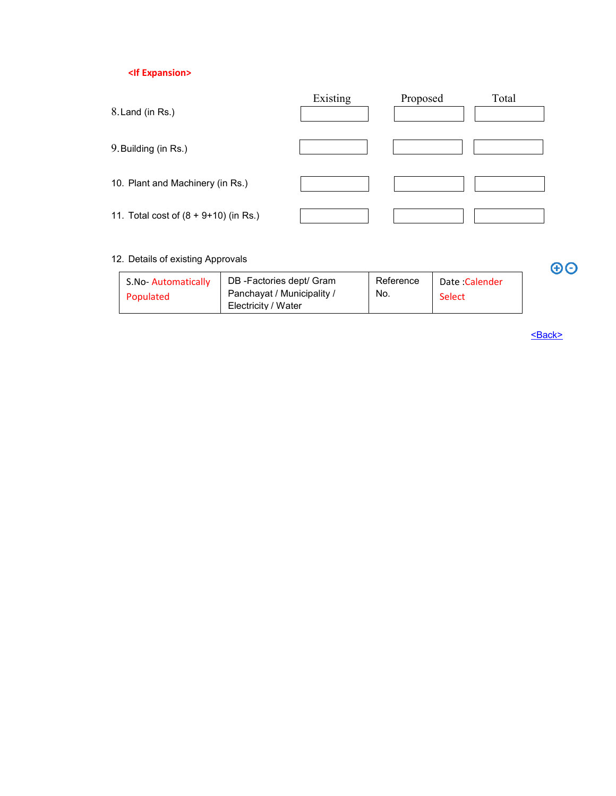#### **<If Expansion>**

| 8. Land (in Rs.)                      | Existing | Proposed | Total |
|---------------------------------------|----------|----------|-------|
| 9. Building (in Rs.)                  |          |          |       |
| 10. Plant and Machinery (in Rs.)      |          |          |       |
| 11. Total cost of (8 + 9+10) (in Rs.) |          |          |       |

#### 12. Details of existing Approvals

| S.No-Automatically | DB-Factories dept/ Gram    | Reference | Date: Calender |
|--------------------|----------------------------|-----------|----------------|
| Populated          | Panchayat / Municipality / | No.       | Select         |
|                    | Electricity / Water        |           |                |

<Back>

 $\Theta$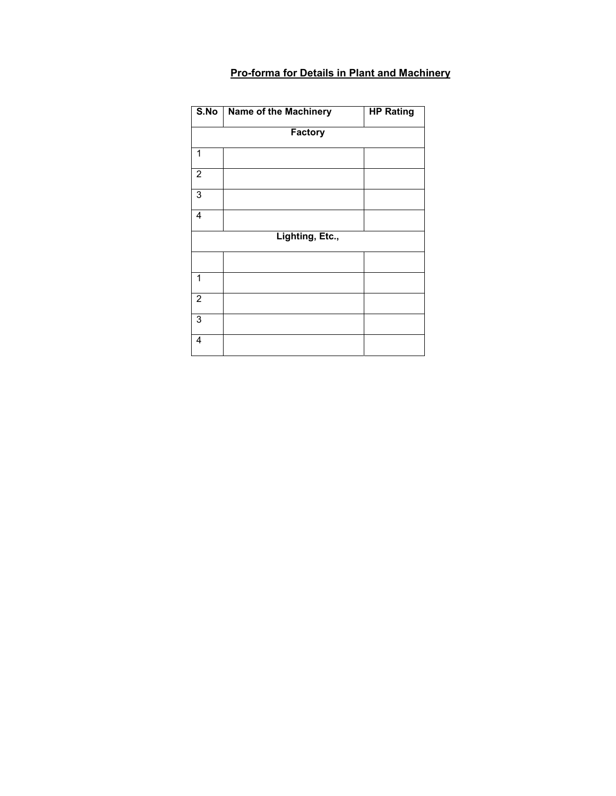#### **Pro-forma for Details in Plant and Machinery**

| S.No                    | Name of the Machinery | <b>HP Rating</b> |
|-------------------------|-----------------------|------------------|
|                         | Factory               |                  |
| 1                       |                       |                  |
| $\overline{2}$          |                       |                  |
| 3                       |                       |                  |
| 4                       |                       |                  |
|                         | Lighting, Etc.,       |                  |
|                         |                       |                  |
| 1                       |                       |                  |
| $\overline{2}$          |                       |                  |
| 3                       |                       |                  |
| $\overline{\mathbf{4}}$ |                       |                  |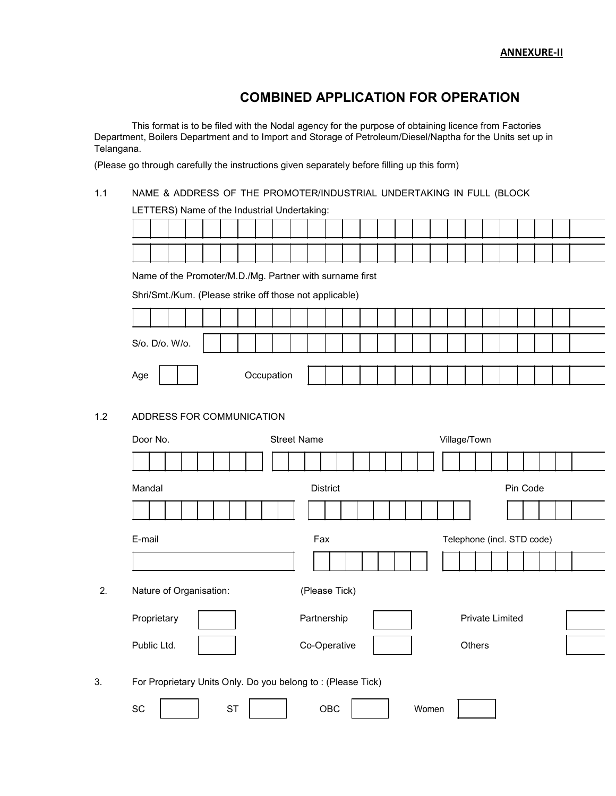### **COMBINED APPLICATION FOR OPERATION**

This format is to be filed with the Nodal agency for the purpose of obtaining licence from Factories Department, Boilers Department and to Import and Storage of Petroleum/Diesel/Naptha for the Units set up in Telangana.

(Please go through carefully the instructions given separately before filling up this form)

#### 1.1 NAME & ADDRESS OF THE PROMOTER/INDUSTRIAL UNDERTAKING IN FULL (BLOCK

LETTERS) Name of the Industrial Undertaking:

Name of the Promoter/M.D./Mg. Partner with surname first

Shri/Smt./Kum. (Please strike off those not applicable)

| S/o. D/o. W/o. |  |  |            |  |  |  |  |  |  |  |  |  |
|----------------|--|--|------------|--|--|--|--|--|--|--|--|--|
| Age            |  |  | Occupation |  |  |  |  |  |  |  |  |  |

#### 1.2 ADDRESS FOR COMMUNICATION

|    | Door No.                                                    | <b>Street Name</b> |                            | Village/Town           |  |  |  |  |  |  |
|----|-------------------------------------------------------------|--------------------|----------------------------|------------------------|--|--|--|--|--|--|
|    |                                                             |                    |                            |                        |  |  |  |  |  |  |
|    | Mandal                                                      | District           |                            | Pin Code               |  |  |  |  |  |  |
|    |                                                             |                    |                            |                        |  |  |  |  |  |  |
|    | E-mail                                                      | Fax                | Telephone (incl. STD code) |                        |  |  |  |  |  |  |
|    |                                                             |                    |                            |                        |  |  |  |  |  |  |
| 2. | Nature of Organisation:                                     | (Please Tick)      |                            |                        |  |  |  |  |  |  |
|    | Proprietary                                                 | Partnership        |                            | <b>Private Limited</b> |  |  |  |  |  |  |
|    | Public Ltd.                                                 | Co-Operative       |                            | Others                 |  |  |  |  |  |  |
| 3. | For Proprietary Units Only. Do you belong to: (Please Tick) |                    |                            |                        |  |  |  |  |  |  |
|    | SC<br><b>ST</b>                                             | OBC                | Women                      |                        |  |  |  |  |  |  |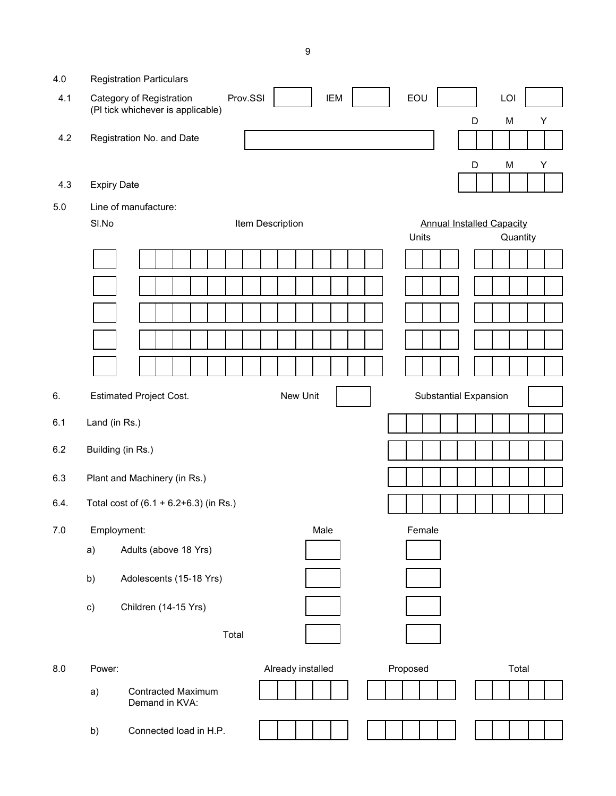| 4.0     |                    | <b>Registration Particulars</b>                               |                        |                                                       |
|---------|--------------------|---------------------------------------------------------------|------------------------|-------------------------------------------------------|
| 4.1     |                    | Category of Registration<br>(PI tick whichever is applicable) | Prov.SSI<br><b>IEM</b> | EOU<br>LOI                                            |
|         |                    |                                                               |                        | Y<br>D<br>M                                           |
| 4.2     |                    | Registration No. and Date                                     |                        |                                                       |
|         |                    |                                                               |                        | M<br>D<br>Υ                                           |
| 4.3     | <b>Expiry Date</b> |                                                               |                        |                                                       |
| $5.0\,$ |                    | Line of manufacture:                                          |                        |                                                       |
|         | SI.No              |                                                               | Item Description       | <b>Annual Installed Capacity</b><br>Units<br>Quantity |
|         |                    |                                                               |                        |                                                       |
|         |                    |                                                               |                        |                                                       |
|         |                    |                                                               |                        |                                                       |
|         |                    |                                                               |                        |                                                       |
|         |                    |                                                               |                        |                                                       |
|         |                    |                                                               |                        |                                                       |
| 6.      |                    | <b>Estimated Project Cost.</b>                                | New Unit               | <b>Substantial Expansion</b>                          |
| 6.1     | Land (in Rs.)      |                                                               |                        |                                                       |
| 6.2     |                    | Building (in Rs.)                                             |                        |                                                       |
| 6.3     |                    | Plant and Machinery (in Rs.)                                  |                        |                                                       |
| 6.4.    |                    | Total cost of $(6.1 + 6.2 + 6.3)$ (in Rs.)                    |                        |                                                       |
| 7.0     | Employment:        |                                                               | Male                   | Female                                                |
|         | a)                 | Adults (above 18 Yrs)                                         |                        |                                                       |
|         | b)                 | Adolescents (15-18 Yrs)                                       |                        |                                                       |
|         | c)                 | Children (14-15 Yrs)                                          |                        |                                                       |
|         |                    | Total                                                         |                        |                                                       |
| 8.0     | Power:             |                                                               | Already installed      | Proposed<br>Total                                     |
|         | a)                 | <b>Contracted Maximum</b><br>Demand in KVA:                   |                        |                                                       |
|         | b)                 | Connected load in H.P.                                        |                        |                                                       |

9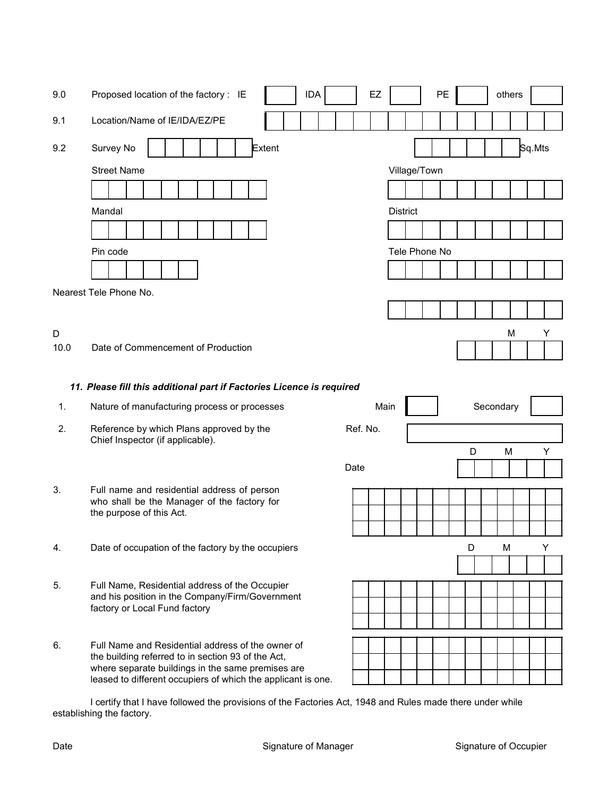| 9.0  | <b>IDA</b><br>Proposed location of the factory : IE                                                                                                                     | EZ       |                 | PE |   |           | others |        |  |
|------|-------------------------------------------------------------------------------------------------------------------------------------------------------------------------|----------|-----------------|----|---|-----------|--------|--------|--|
| 9.1  | Location/Name of IE/IDA/EZ/PE                                                                                                                                           |          |                 |    |   |           |        |        |  |
| 9.2  | Survey No<br><b>Extent</b><br><b>Street Name</b>                                                                                                                        |          | Village/Town    |    |   |           |        | Sq.Mts |  |
|      |                                                                                                                                                                         |          |                 |    |   |           |        |        |  |
|      | Mandal                                                                                                                                                                  |          | <b>District</b> |    |   |           |        |        |  |
|      |                                                                                                                                                                         |          |                 |    |   |           |        |        |  |
|      | Pin code                                                                                                                                                                |          | Tele Phone No   |    |   |           |        |        |  |
|      |                                                                                                                                                                         |          |                 |    |   |           |        |        |  |
|      | Nearest Tele Phone No.                                                                                                                                                  |          |                 |    |   |           |        |        |  |
|      |                                                                                                                                                                         |          |                 |    |   |           |        |        |  |
| D    |                                                                                                                                                                         |          |                 |    |   |           | М      | Y      |  |
| 10.0 | Date of Commencement of Production                                                                                                                                      |          |                 |    |   |           |        |        |  |
|      | 11. Please fill this additional part if Factories Licence is required                                                                                                   |          |                 |    |   |           |        |        |  |
|      |                                                                                                                                                                         |          |                 |    |   |           |        |        |  |
| 1.   | Nature of manufacturing process or processes                                                                                                                            | Main     |                 |    |   | Secondary |        |        |  |
| 2.   | Reference by which Plans approved by the<br>Chief Inspector (if applicable).                                                                                            | Ref. No. |                 |    |   |           |        |        |  |
|      |                                                                                                                                                                         |          |                 |    | D |           | M      | Y      |  |
|      |                                                                                                                                                                         | Date     |                 |    |   |           |        |        |  |
| 3.   | Full name and residential address of person<br>who shall be the Manager of the factory for                                                                              |          |                 |    |   |           |        |        |  |
|      | the purpose of this Act.                                                                                                                                                |          |                 |    |   |           |        |        |  |
|      |                                                                                                                                                                         |          |                 |    |   |           |        |        |  |
| 4.   | Date of occupation of the factory by the occupiers                                                                                                                      |          |                 |    | D | M         |        | Υ      |  |
| 5.   | Full Name, Residential address of the Occupier                                                                                                                          |          |                 |    |   |           |        |        |  |
|      | and his position in the Company/Firm/Government<br>factory or Local Fund factory                                                                                        |          |                 |    |   |           |        |        |  |
|      |                                                                                                                                                                         |          |                 |    |   |           |        |        |  |
| 6.   | Full Name and Residential address of the owner of                                                                                                                       |          |                 |    |   |           |        |        |  |
|      | the building referred to in section 93 of the Act,<br>where separate buildings in the same premises are<br>leased to different occupiers of which the applicant is one. |          |                 |    |   |           |        |        |  |

I certify that I have followed the provisions of the Factories Act, 1948 and Rules made there under while establishing the factory.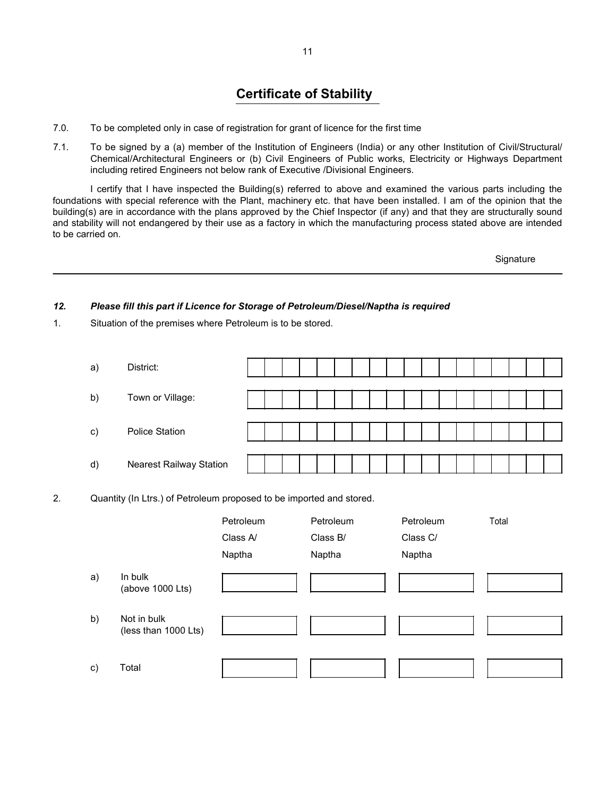# **Certificate of Stability**

- 7.0. To be completed only in case of registration for grant of licence for the first time
- 7.1. To be signed by a (a) member of the Institution of Engineers (India) or any other Institution of Civil/Structural/ Chemical/Architectural Engineers or (b) Civil Engineers of Public works, Electricity or Highways Department including retired Engineers not below rank of Executive /Divisional Engineers.

I certify that I have inspected the Building(s) referred to above and examined the various parts including the foundations with special reference with the Plant, machinery etc. that have been installed. I am of the opinion that the building(s) are in accordance with the plans approved by the Chief Inspector (if any) and that they are structurally sound and stability will not endangered by their use as a factory in which the manufacturing process stated above are intended to be carried on.

**Signature** 

#### *12. Please fill this part if Licence for Storage of Petroleum/Diesel/Naptha is required*

1. Situation of the premises where Petroleum is to be stored.

| a) | District:                      |  |  |  |  |  |  |  |  |  |
|----|--------------------------------|--|--|--|--|--|--|--|--|--|
| b) | Town or Village:               |  |  |  |  |  |  |  |  |  |
| C) | <b>Police Station</b>          |  |  |  |  |  |  |  |  |  |
| d) | <b>Nearest Railway Station</b> |  |  |  |  |  |  |  |  |  |

2. Quantity (In Ltrs.) of Petroleum proposed to be imported and stored.

|    |                                     | Petroleum | Petroleum | Petroleum | Total |
|----|-------------------------------------|-----------|-----------|-----------|-------|
|    |                                     | Class A/  | Class B/  | Class C/  |       |
|    |                                     | Naptha    | Naptha    | Naptha    |       |
| a) | In bulk<br>(above 1000 Lts)         |           |           |           |       |
| b) | Not in bulk<br>(less than 1000 Lts) |           |           |           |       |
| c) | Total                               |           |           |           |       |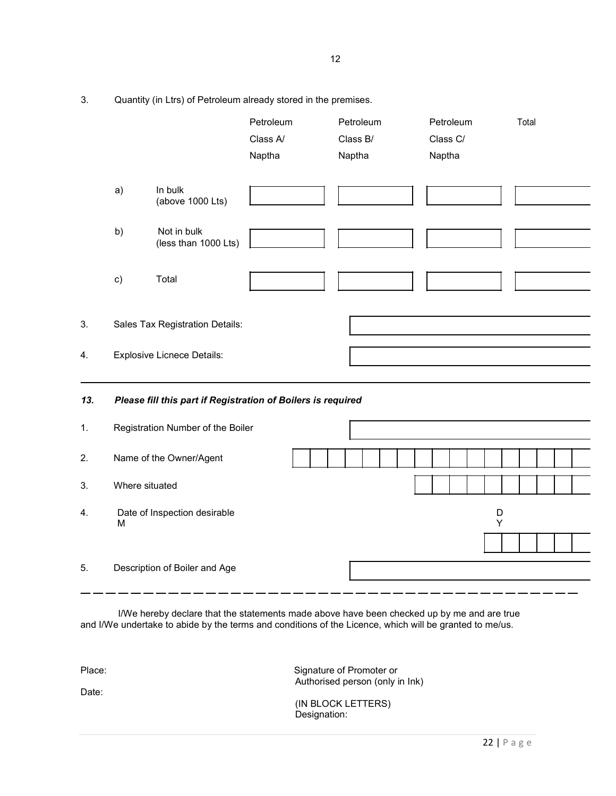3. Quantity (in Ltrs) of Petroleum already stored in the premises.

|     |                |                                                              | Petroleum<br>Class A/<br>Naptha | Petroleum<br>Class B/<br>Naptha | Petroleum<br>Class C/<br>Naptha | Total |
|-----|----------------|--------------------------------------------------------------|---------------------------------|---------------------------------|---------------------------------|-------|
|     | a)             | In bulk<br>(above 1000 Lts)                                  |                                 |                                 |                                 |       |
|     | b)             | Not in bulk<br>(less than 1000 Lts)                          |                                 |                                 |                                 |       |
|     | c)             | Total                                                        |                                 |                                 |                                 |       |
| 3.  |                | Sales Tax Registration Details:                              |                                 |                                 |                                 |       |
| 4.  |                | <b>Explosive Licnece Details:</b>                            |                                 |                                 |                                 |       |
| 13. |                | Please fill this part if Registration of Boilers is required |                                 |                                 |                                 |       |
| 1.  |                | Registration Number of the Boiler                            |                                 |                                 |                                 |       |
| 2.  |                | Name of the Owner/Agent                                      |                                 |                                 |                                 |       |
| 3.  | Where situated |                                                              |                                 |                                 |                                 |       |
| 4.  | M              | Date of Inspection desirable                                 |                                 |                                 | D<br>Υ                          |       |
| 5.  |                | Description of Boiler and Age                                |                                 |                                 |                                 |       |

I/We hereby declare that the statements made above have been checked up by me and are true and I/We undertake to abide by the terms and conditions of the Licence, which will be granted to me/us.

Date:

Place: Signature of Promoter or Authorised person (only in Ink)

> (IN BLOCK LETTERS) Designation: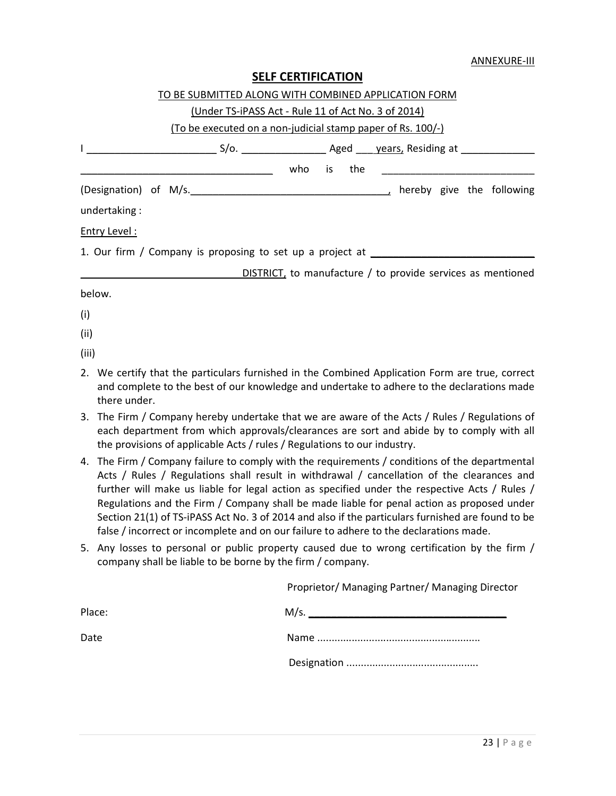| <b>SELF CERTIFICATION</b> |
|---------------------------|
|---------------------------|

|       | TO BE SUBMITTED ALONG WITH COMBINED APPLICATION FORM                                                                                                                                          |  |  |  |  |  |  |  |
|-------|-----------------------------------------------------------------------------------------------------------------------------------------------------------------------------------------------|--|--|--|--|--|--|--|
|       | (Under TS-iPASS Act - Rule 11 of Act No. 3 of 2014)                                                                                                                                           |  |  |  |  |  |  |  |
|       | (To be executed on a non-judicial stamp paper of Rs. 100/-)                                                                                                                                   |  |  |  |  |  |  |  |
|       |                                                                                                                                                                                               |  |  |  |  |  |  |  |
|       |                                                                                                                                                                                               |  |  |  |  |  |  |  |
|       |                                                                                                                                                                                               |  |  |  |  |  |  |  |
|       | undertaking:                                                                                                                                                                                  |  |  |  |  |  |  |  |
|       | Entry Level:                                                                                                                                                                                  |  |  |  |  |  |  |  |
|       | 1. Our firm / Company is proposing to set up a project at ______________________                                                                                                              |  |  |  |  |  |  |  |
|       | DISTRICT, to manufacture / to provide services as mentioned                                                                                                                                   |  |  |  |  |  |  |  |
|       | below.                                                                                                                                                                                        |  |  |  |  |  |  |  |
| (i)   |                                                                                                                                                                                               |  |  |  |  |  |  |  |
| (ii)  |                                                                                                                                                                                               |  |  |  |  |  |  |  |
| (iii) |                                                                                                                                                                                               |  |  |  |  |  |  |  |
|       | 2. We certify that the particulars furnished in the Combined Application Form are true, correct<br>and complete to the best of our knowledge and undertake to adhere to the declarations made |  |  |  |  |  |  |  |

3. The Firm / Company hereby undertake that we are aware of the Acts / Rules / Regulations of each department from which approvals/clearances are sort and abide by to comply with all the provisions of applicable Acts / rules / Regulations to our industry.

there under.

- 4. The Firm / Company failure to comply with the requirements / conditions of the departmental Acts / Rules / Regulations shall result in withdrawal / cancellation of the clearances and further will make us liable for legal action as specified under the respective Acts / Rules / Regulations and the Firm / Company shall be made liable for penal action as proposed under Section 21(1) of TS-iPASS Act No. 3 of 2014 and also if the particulars furnished are found to be false / incorrect or incomplete and on our failure to adhere to the declarations made.
- 5. Any losses to personal or public property caused due to wrong certification by the firm / company shall be liable to be borne by the firm / company.

| Proprietor/ Managing Partner/ Managing Director |  |
|-------------------------------------------------|--|
|-------------------------------------------------|--|

| Place: | M/s. |
|--------|------|
| Date   |      |
|        |      |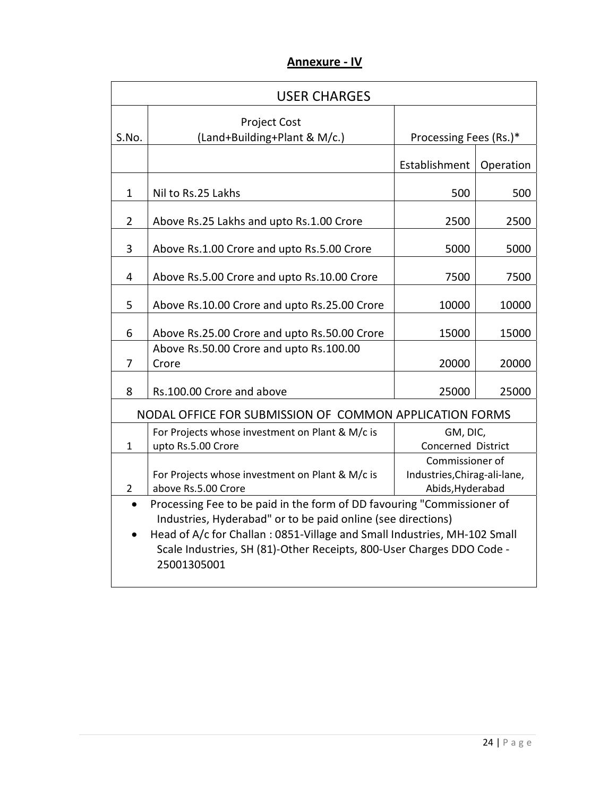| <b>Annexure - IV</b> |  |
|----------------------|--|
|                      |  |

| <b>USER CHARGES</b> |                                                                                                                                                                                                                                                                                                            |                                                                     |           |  |  |
|---------------------|------------------------------------------------------------------------------------------------------------------------------------------------------------------------------------------------------------------------------------------------------------------------------------------------------------|---------------------------------------------------------------------|-----------|--|--|
| S.No.               | <b>Project Cost</b><br>(Land+Building+Plant & M/c.)                                                                                                                                                                                                                                                        | Processing Fees (Rs.)*                                              |           |  |  |
|                     |                                                                                                                                                                                                                                                                                                            | Establishment                                                       | Operation |  |  |
| $\mathbf{1}$        | Nil to Rs.25 Lakhs                                                                                                                                                                                                                                                                                         | 500                                                                 | 500       |  |  |
| $\overline{2}$      | Above Rs.25 Lakhs and upto Rs.1.00 Crore                                                                                                                                                                                                                                                                   | 2500                                                                | 2500      |  |  |
| 3                   | Above Rs.1.00 Crore and upto Rs.5.00 Crore                                                                                                                                                                                                                                                                 | 5000                                                                | 5000      |  |  |
| $\overline{4}$      | Above Rs.5.00 Crore and upto Rs.10.00 Crore                                                                                                                                                                                                                                                                | 7500                                                                | 7500      |  |  |
| 5                   | Above Rs.10.00 Crore and upto Rs.25.00 Crore                                                                                                                                                                                                                                                               | 10000                                                               | 10000     |  |  |
| 6                   | Above Rs.25.00 Crore and upto Rs.50.00 Crore                                                                                                                                                                                                                                                               | 15000                                                               | 15000     |  |  |
| $\overline{7}$      | Above Rs.50.00 Crore and upto Rs.100.00<br>Crore                                                                                                                                                                                                                                                           | 20000                                                               | 20000     |  |  |
| 8                   | Rs.100.00 Crore and above                                                                                                                                                                                                                                                                                  | 25000                                                               | 25000     |  |  |
|                     | NODAL OFFICE FOR SUBMISSION OF COMMON APPLICATION FORMS                                                                                                                                                                                                                                                    |                                                                     |           |  |  |
| 1                   | For Projects whose investment on Plant & M/c is<br>upto Rs.5.00 Crore                                                                                                                                                                                                                                      | GM, DIC,<br><b>Concerned District</b>                               |           |  |  |
| $\overline{2}$      | For Projects whose investment on Plant & M/c is<br>above Rs.5.00 Crore                                                                                                                                                                                                                                     | Commissioner of<br>Industries, Chirag-ali-lane,<br>Abids, Hyderabad |           |  |  |
| $\bullet$           | Processing Fee to be paid in the form of DD favouring "Commissioner of<br>Industries, Hyderabad" or to be paid online (see directions)<br>Head of A/c for Challan: 0851-Village and Small Industries, MH-102 Small<br>Scale Industries, SH (81)-Other Receipts, 800-User Charges DDO Code -<br>25001305001 |                                                                     |           |  |  |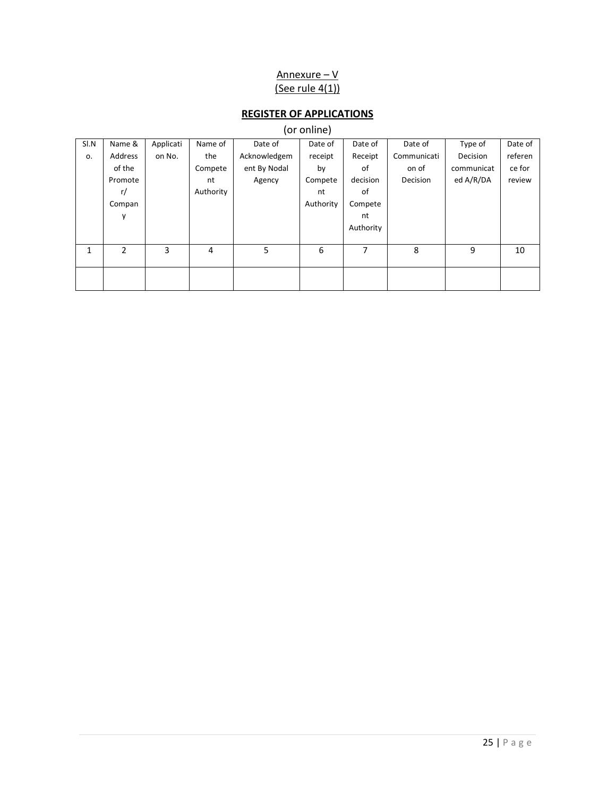### Annexure – V (See rule  $4(1)$ )

# **REGISTER OF APPLICATIONS**

# (or online)

| SI.N | Name &  | Applicati | Name of   | Date of      | Date of   | Date of   | Date of     | Type of    | Date of |
|------|---------|-----------|-----------|--------------|-----------|-----------|-------------|------------|---------|
| 0.   | Address | on No.    | the       | Acknowledgem | receipt   | Receipt   | Communicati | Decision   | referen |
|      | of the  |           | Compete   | ent By Nodal | by        | 0f        | on of       | communicat | ce for  |
|      | Promote |           | nt        | Agency       | Compete   | decision  | Decision    | ed A/R/DA  | review  |
|      | r/      |           | Authority |              | nt        | of        |             |            |         |
|      | Compan  |           |           |              | Authority | Compete   |             |            |         |
|      | у       |           |           |              |           | nt        |             |            |         |
|      |         |           |           |              |           | Authority |             |            |         |
|      |         |           |           |              |           |           |             |            |         |
| 1    | 2       | 3         | 4         | 5            | 6         | 7         | 8           | 9          | 10      |
|      |         |           |           |              |           |           |             |            |         |
|      |         |           |           |              |           |           |             |            |         |
|      |         |           |           |              |           |           |             |            |         |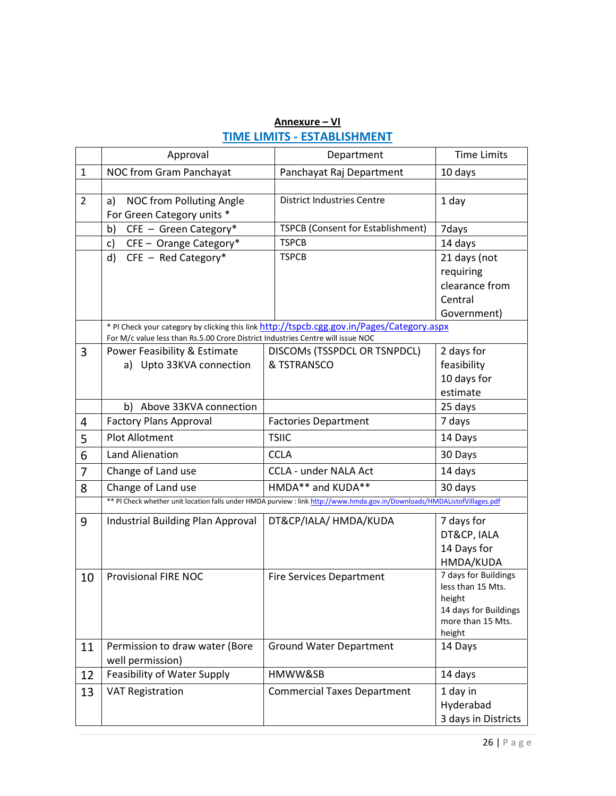# **Annexure – VI TIME LIMITS - ESTABLISHMENT**

|                | Approval                                                                        | Department                                                                                                                | <b>Time Limits</b>          |
|----------------|---------------------------------------------------------------------------------|---------------------------------------------------------------------------------------------------------------------------|-----------------------------|
| $\mathbf{1}$   | NOC from Gram Panchayat                                                         | Panchayat Raj Department                                                                                                  | 10 days                     |
|                |                                                                                 |                                                                                                                           |                             |
| $\overline{2}$ | NOC from Polluting Angle<br>a)                                                  | <b>District Industries Centre</b>                                                                                         | 1 day                       |
|                | For Green Category units *                                                      |                                                                                                                           |                             |
|                | CFE - Green Category*<br>b)                                                     | TSPCB (Consent for Establishment)                                                                                         | 7days                       |
|                | CFE - Orange Category*<br>c)                                                    | <b>TSPCB</b>                                                                                                              | 14 days                     |
|                | $CFE - Red Category*$<br>d)                                                     | <b>TSPCB</b>                                                                                                              | 21 days (not                |
|                |                                                                                 |                                                                                                                           | requiring                   |
|                |                                                                                 |                                                                                                                           | clearance from              |
|                |                                                                                 |                                                                                                                           | Central                     |
|                |                                                                                 |                                                                                                                           | Government)                 |
|                | For M/c value less than Rs.5.00 Crore District Industries Centre will issue NOC | * PI Check your category by clicking this link http://tspcb.cgg.gov.in/Pages/Category.aspx                                |                             |
| 3              | Power Feasibility & Estimate                                                    | DISCOMS (TSSPDCL OR TSNPDCL)                                                                                              | 2 days for                  |
|                | a) Upto 33KVA connection                                                        | & TSTRANSCO                                                                                                               | feasibility                 |
|                |                                                                                 |                                                                                                                           | 10 days for                 |
|                |                                                                                 |                                                                                                                           | estimate                    |
|                | b) Above 33KVA connection                                                       |                                                                                                                           | 25 days                     |
| 4              | <b>Factory Plans Approval</b>                                                   | <b>Factories Department</b>                                                                                               | 7 days                      |
| 5              | <b>Plot Allotment</b>                                                           | <b>TSIIC</b>                                                                                                              | 14 Days                     |
| 6              | <b>Land Alienation</b>                                                          | <b>CCLA</b>                                                                                                               | 30 Days                     |
| 7              | Change of Land use                                                              | <b>CCLA - under NALA Act</b>                                                                                              | 14 days                     |
| 8              | Change of Land use                                                              | HMDA** and KUDA**                                                                                                         | 30 days                     |
|                |                                                                                 | ** PI Check whether unit location falls under HMDA purview : link http://www.hmda.gov.in/Downloads/HMDAListofVillages.pdf |                             |
| 9              | Industrial Building Plan Approval                                               | DT&CP/IALA/ HMDA/KUDA                                                                                                     | 7 days for                  |
|                |                                                                                 |                                                                                                                           | DT&CP, IALA                 |
|                |                                                                                 |                                                                                                                           | 14 Days for                 |
|                |                                                                                 |                                                                                                                           | HMDA/KUDA                   |
| 10             | <b>Provisional FIRE NOC</b>                                                     | <b>Fire Services Department</b>                                                                                           | 7 days for Buildings        |
|                |                                                                                 |                                                                                                                           | less than 15 Mts.<br>height |
|                |                                                                                 |                                                                                                                           | 14 days for Buildings       |
|                |                                                                                 |                                                                                                                           | more than 15 Mts.           |
|                |                                                                                 |                                                                                                                           | height                      |
| 11             | Permission to draw water (Bore<br>well permission)                              | <b>Ground Water Department</b>                                                                                            | 14 Days                     |
| 12             | Feasibility of Water Supply                                                     | HMWW&SB                                                                                                                   | 14 days                     |
| 13             | <b>VAT Registration</b>                                                         | <b>Commercial Taxes Department</b>                                                                                        | 1 day in                    |
|                |                                                                                 |                                                                                                                           | Hyderabad                   |
|                |                                                                                 |                                                                                                                           | 3 days in Districts         |
|                |                                                                                 |                                                                                                                           |                             |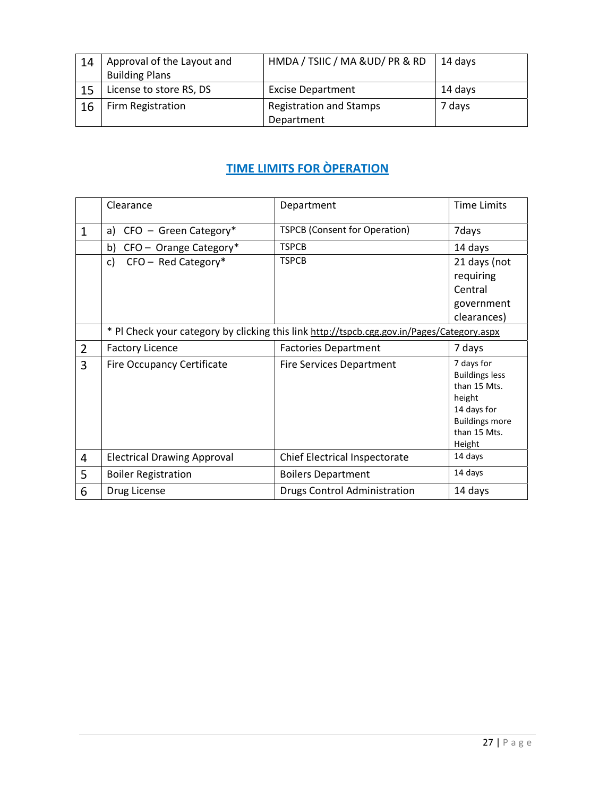| 14 | Approval of the Layout and | HMDA / TSIIC / MA & UD/ PR & RD | 14 days |
|----|----------------------------|---------------------------------|---------|
|    | <b>Building Plans</b>      |                                 |         |
|    | License to store RS, DS    | <b>Excise Department</b>        | 14 days |
| 16 | Firm Registration          | <b>Registration and Stamps</b>  | 7 days  |
|    |                            | Department                      |         |

# **TIME LIMITS FOR ÒPERATION**

|                | Clearance                          | Department                                                                                 | <b>Time Limits</b>                                                                                                              |
|----------------|------------------------------------|--------------------------------------------------------------------------------------------|---------------------------------------------------------------------------------------------------------------------------------|
| $\mathbf{1}$   | $CFO - Green Category*$<br>a)      | <b>TSPCB (Consent for Operation)</b>                                                       | 7days                                                                                                                           |
|                | CFO - Orange Category*<br>b)       | <b>TSPCB</b>                                                                               | 14 days                                                                                                                         |
|                | $CFO - Red Category*$<br>c)        | <b>TSPCB</b>                                                                               | 21 days (not                                                                                                                    |
|                |                                    |                                                                                            | requiring                                                                                                                       |
|                |                                    |                                                                                            | Central                                                                                                                         |
|                |                                    |                                                                                            | government                                                                                                                      |
|                |                                    |                                                                                            | clearances)                                                                                                                     |
|                |                                    | * PI Check your category by clicking this link http://tspcb.cgg.gov.in/Pages/Category.aspx |                                                                                                                                 |
| $\overline{2}$ | <b>Factory Licence</b>             | <b>Factories Department</b>                                                                | 7 days                                                                                                                          |
| 3              | <b>Fire Occupancy Certificate</b>  | <b>Fire Services Department</b>                                                            | 7 days for<br><b>Buildings less</b><br>than 15 Mts.<br>height<br>14 days for<br><b>Buildings more</b><br>than 15 Mts.<br>Height |
| 4              | <b>Electrical Drawing Approval</b> | Chief Electrical Inspectorate                                                              | 14 days                                                                                                                         |
| 5              | <b>Boiler Registration</b>         | <b>Boilers Department</b>                                                                  | 14 days                                                                                                                         |
| 6              | Drug License                       | Drugs Control Administration                                                               | 14 days                                                                                                                         |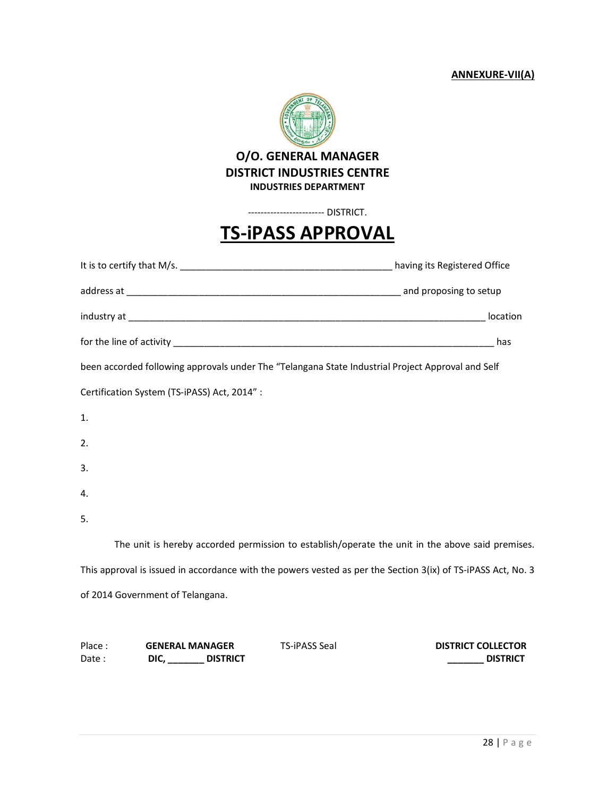**ANNEXURE-VII(A)**



### **O/O. GENERAL MANAGER DISTRICT INDUSTRIES CENTRE INDUSTRIES DEPARTMENT**

------------------------ DISTRICT.

# **TS-iPASS APPROVAL**

| been accorded following approvals under The "Telangana State Industrial Project Approval and Self            |  |
|--------------------------------------------------------------------------------------------------------------|--|
| Certification System (TS-iPASS) Act, 2014":                                                                  |  |
| 1.                                                                                                           |  |
| 2.                                                                                                           |  |
| 3.                                                                                                           |  |
| 4.                                                                                                           |  |
| 5.                                                                                                           |  |
| The unit is hereby accorded permission to establish/operate the unit in the above said premises.             |  |
| This approval is issued in accordance with the powers vested as per the Section 3(ix) of TS-iPASS Act, No. 3 |  |
| of 2014 Government of Telangana.                                                                             |  |
|                                                                                                              |  |
|                                                                                                              |  |

| Place: | <b>GENERAL MANAGER</b> |                 | <b>TS-iPASS Seal</b> | <b>DISTRICT COLLECTOR</b> |
|--------|------------------------|-----------------|----------------------|---------------------------|
| Date:  | DIC.                   | <b>DISTRICT</b> |                      | <b>DISTRICT</b>           |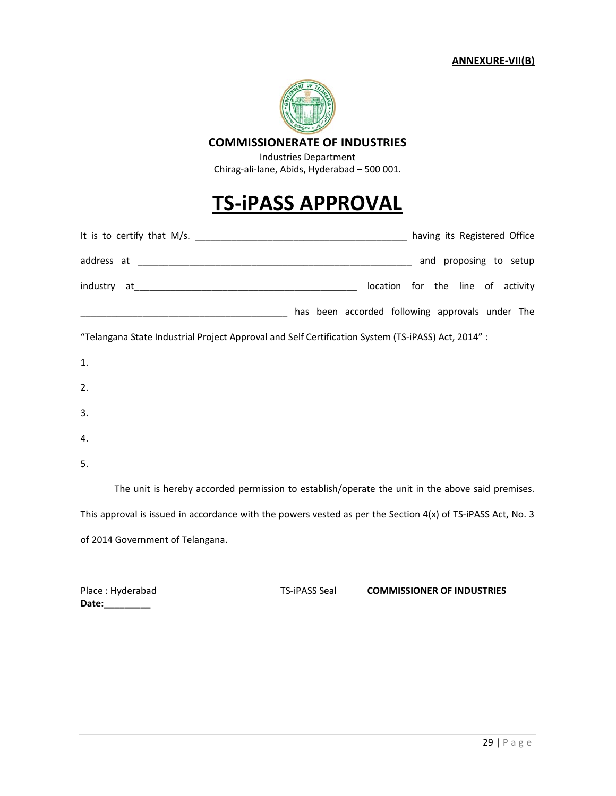

#### **COMMISSIONERATE OF INDUSTRIES**

Industries Department Chirag-ali-lane, Abids, Hyderabad – 500 001.

# **TS-iPASS APPROVAL**

| having its Registered Office                                                                                                                                                                                                                                                                          |
|-------------------------------------------------------------------------------------------------------------------------------------------------------------------------------------------------------------------------------------------------------------------------------------------------------|
| and proposing to setup                                                                                                                                                                                                                                                                                |
| location for the line of activity                                                                                                                                                                                                                                                                     |
| has been accorded following approvals under The                                                                                                                                                                                                                                                       |
| $\theta$ , the compact of the contract of the contract of the contract of $\theta$ and $\theta$ and $\theta$ and $\theta$ and $\theta$ and $\theta$ and $\theta$ and $\theta$ and $\theta$ and $\theta$ and $\theta$ and $\theta$ and $\theta$ and $\theta$ and $\theta$ and $\theta$ and $\theta$ an |

"Telangana State Industrial Project Approval and Self Certification System (TS-iPASS) Act, 2014" :

| 1. |  |  |  |
|----|--|--|--|
| 2. |  |  |  |
| 3. |  |  |  |
| 4. |  |  |  |

5.

 The unit is hereby accorded permission to establish/operate the unit in the above said premises. This approval is issued in accordance with the powers vested as per the Section 4(x) of TS-iPASS Act, No. 3 of 2014 Government of Telangana.

Place : Hyderabad TS-iPASS Seal **COMMISSIONER OF INDUSTRIES Date:\_\_\_\_\_\_\_\_\_**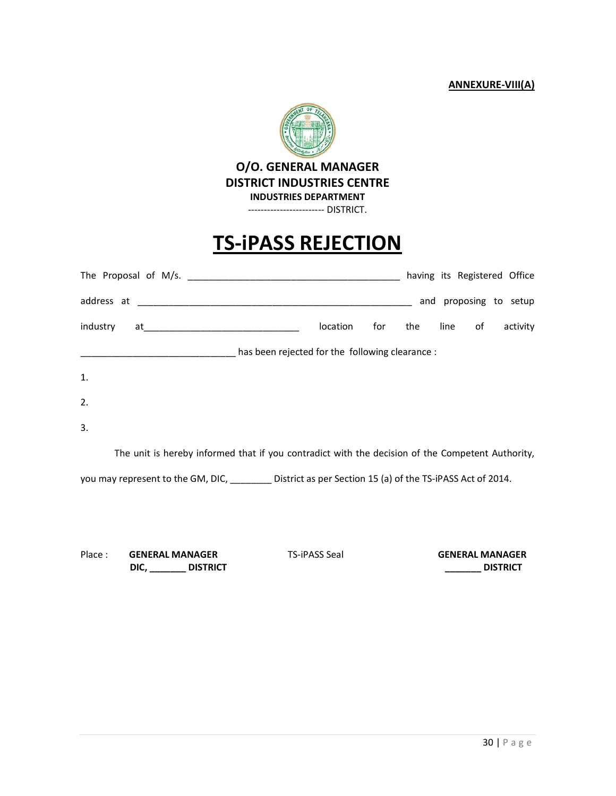#### **ANNEXURE-VIII(A)**



# **TS-iPASS REJECTION**

|                                                                                                  |                                                             |     |     |      |    | having its Registered Office |
|--------------------------------------------------------------------------------------------------|-------------------------------------------------------------|-----|-----|------|----|------------------------------|
|                                                                                                  |                                                             |     |     |      |    | and proposing to setup       |
| industry                                                                                         | location                                                    | for | the | line | of | activity                     |
| has been rejected for the following clearance :                                                  |                                                             |     |     |      |    |                              |
| 1.                                                                                               |                                                             |     |     |      |    |                              |
| 2.                                                                                               |                                                             |     |     |      |    |                              |
| 3.                                                                                               |                                                             |     |     |      |    |                              |
| The unit is hereby informed that if you contradict with the decision of the Competent Authority, |                                                             |     |     |      |    |                              |
| you may represent to the GM, DIC,                                                                | District as per Section 15 (a) of the TS-iPASS Act of 2014. |     |     |      |    |                              |

Place : **GENERAL MANAGER** TS-iPASS Seal **GENERAL MANAGER DIC, \_\_\_\_\_\_\_ DISTRICT \_\_\_\_\_\_\_ DISTRICT**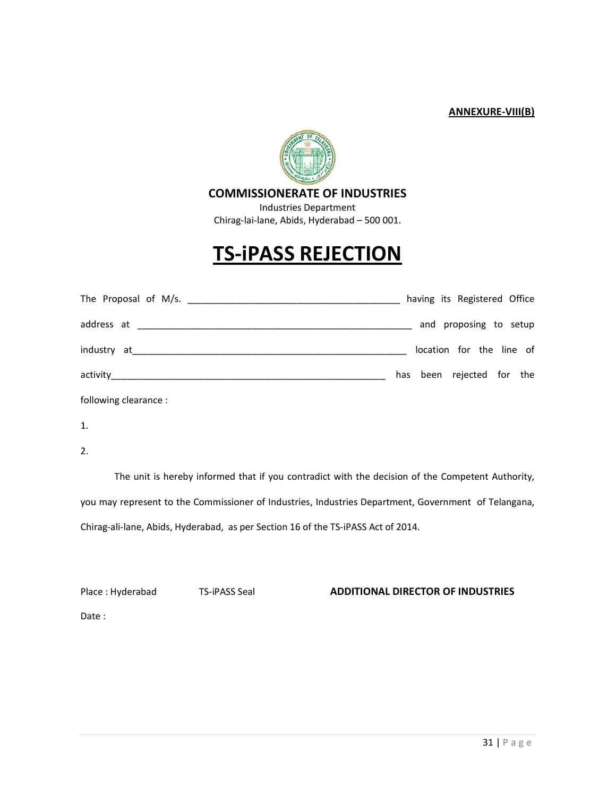#### **ANNEXURE-VIII(B)**



#### **COMMISSIONERATE OF INDUSTRIES**

Industries Department Chirag-lai-lane, Abids, Hyderabad – 500 001.

# **TS-iPASS REJECTION**

|                                         | having its Registered Office |
|-----------------------------------------|------------------------------|
|                                         | and proposing to setup       |
|                                         | location for the line of     |
|                                         | has been rejected for the    |
| المتحدث ويتحدث والمتحدث والمناسبة المتك |                              |

following clearance :

1.

2.

 The unit is hereby informed that if you contradict with the decision of the Competent Authority, you may represent to the Commissioner of Industries, Industries Department, Government of Telangana, Chirag-ali-lane, Abids, Hyderabad, as per Section 16 of the TS-iPASS Act of 2014.

#### Place : Hyderabad TS-iPASS Seal **ADDITIONAL DIRECTOR OF INDUSTRIES**

Date :